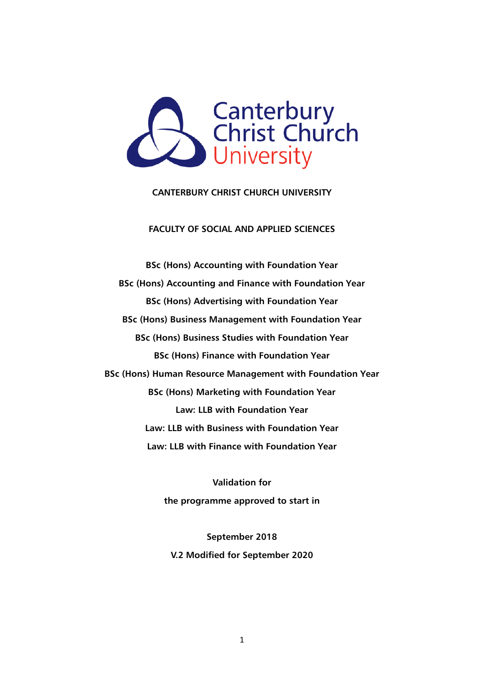

#### **CANTERBURY CHRIST CHURCH UNIVERSITY**

#### **FACULTY OF SOCIAL AND APPLIED SCIENCES**

**BSc (Hons) Accounting with Foundation Year BSc (Hons) Accounting and Finance with Foundation Year BSc (Hons) Advertising with Foundation Year BSc (Hons) Business Management with Foundation Year BSc (Hons) Business Studies with Foundation Year BSc (Hons) Finance with Foundation Year BSc (Hons) Human Resource Management with Foundation Year BSc (Hons) Marketing with Foundation Year Law: LLB with Foundation Year Law: LLB with Business with Foundation Year Law: LLB with Finance with Foundation Year**

> **Validation for the programme approved to start in**

**September 2018 V.2 Modified for September 2020**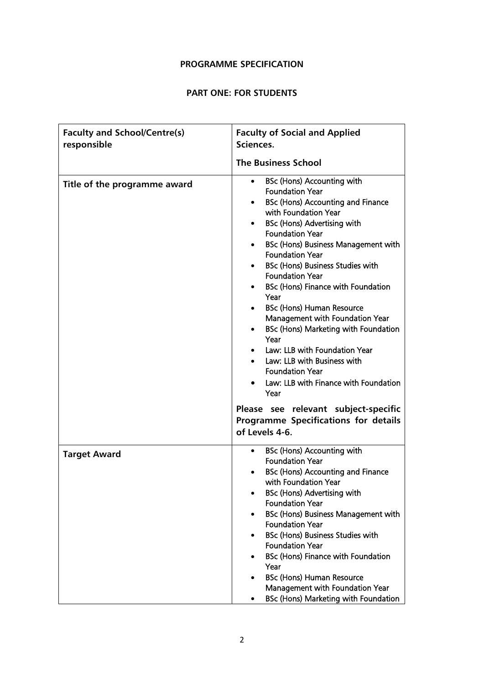## **PROGRAMME SPECIFICATION**

## **PART ONE: FOR STUDENTS**

| <b>Faculty and School/Centre(s)</b><br>responsible | <b>Faculty of Social and Applied</b><br>Sciences.                                                                                                                                                                                                                                                                                                                                                                                                                                                                                                                                                                                                                                       |  |
|----------------------------------------------------|-----------------------------------------------------------------------------------------------------------------------------------------------------------------------------------------------------------------------------------------------------------------------------------------------------------------------------------------------------------------------------------------------------------------------------------------------------------------------------------------------------------------------------------------------------------------------------------------------------------------------------------------------------------------------------------------|--|
|                                                    | <b>The Business School</b>                                                                                                                                                                                                                                                                                                                                                                                                                                                                                                                                                                                                                                                              |  |
| Title of the programme award                       | BSc (Hons) Accounting with<br>$\bullet$<br><b>Foundation Year</b><br>BSc (Hons) Accounting and Finance<br>with Foundation Year<br>BSc (Hons) Advertising with<br><b>Foundation Year</b><br><b>BSc (Hons) Business Management with</b><br><b>Foundation Year</b><br>BSc (Hons) Business Studies with<br><b>Foundation Year</b><br>BSc (Hons) Finance with Foundation<br>Year<br><b>BSc (Hons) Human Resource</b><br>Management with Foundation Year<br>BSc (Hons) Marketing with Foundation<br>Year<br>Law: LLB with Foundation Year<br>• Law: LLB with Business with<br><b>Foundation Year</b><br>Law: LLB with Finance with Foundation<br>Year<br>Please see relevant subject-specific |  |
|                                                    | Programme Specifications for details<br>of Levels 4-6.                                                                                                                                                                                                                                                                                                                                                                                                                                                                                                                                                                                                                                  |  |
| <b>Target Award</b>                                | BSc (Hons) Accounting with<br><b>Foundation Year</b><br>BSc (Hons) Accounting and Finance<br>with Foundation Year<br>BSc (Hons) Advertising with<br>٠<br><b>Foundation Year</b><br><b>BSc (Hons) Business Management with</b><br><b>Foundation Year</b><br>BSc (Hons) Business Studies with<br><b>Foundation Year</b><br>BSc (Hons) Finance with Foundation<br>Year<br><b>BSc (Hons) Human Resource</b><br>Management with Foundation Year<br>BSc (Hons) Marketing with Foundation                                                                                                                                                                                                      |  |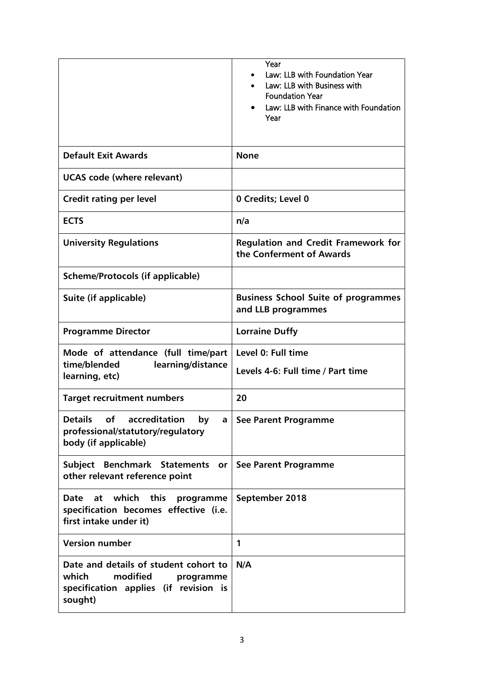|                                                                                                                             | Year<br>Law: LLB with Foundation Year<br>Law: LLB with Business with<br><b>Foundation Year</b><br>Law: LLB with Finance with Foundation<br>Year |
|-----------------------------------------------------------------------------------------------------------------------------|-------------------------------------------------------------------------------------------------------------------------------------------------|
| <b>Default Exit Awards</b>                                                                                                  | <b>None</b>                                                                                                                                     |
| <b>UCAS</b> code (where relevant)                                                                                           |                                                                                                                                                 |
| <b>Credit rating per level</b>                                                                                              | 0 Credits; Level 0                                                                                                                              |
| <b>ECTS</b>                                                                                                                 | n/a                                                                                                                                             |
| <b>University Regulations</b>                                                                                               | <b>Regulation and Credit Framework for</b><br>the Conferment of Awards                                                                          |
| Scheme/Protocols (if applicable)                                                                                            |                                                                                                                                                 |
| Suite (if applicable)                                                                                                       | <b>Business School Suite of programmes</b><br>and LLB programmes                                                                                |
| <b>Programme Director</b>                                                                                                   | <b>Lorraine Duffy</b>                                                                                                                           |
| Mode of attendance (full time/part<br>time/blended<br>learning/distance<br>learning, etc)                                   | Level 0: Full time<br>Levels 4-6: Full time / Part time                                                                                         |
| <b>Target recruitment numbers</b>                                                                                           | 20                                                                                                                                              |
| Details of accreditation<br>professional/statutory/regulatory<br>body (if applicable)                                       | by a   See Parent Programme                                                                                                                     |
| Subject Benchmark Statements<br>or <sub>l</sub><br>other relevant reference point                                           | <b>See Parent Programme</b>                                                                                                                     |
| Date at which<br>this<br>programme<br>specification becomes effective (i.e.<br>first intake under it)                       | September 2018                                                                                                                                  |
| <b>Version number</b>                                                                                                       | 1                                                                                                                                               |
| Date and details of student cohort to<br>which<br>modified<br>programme<br>specification applies (if revision is<br>sought) | N/A                                                                                                                                             |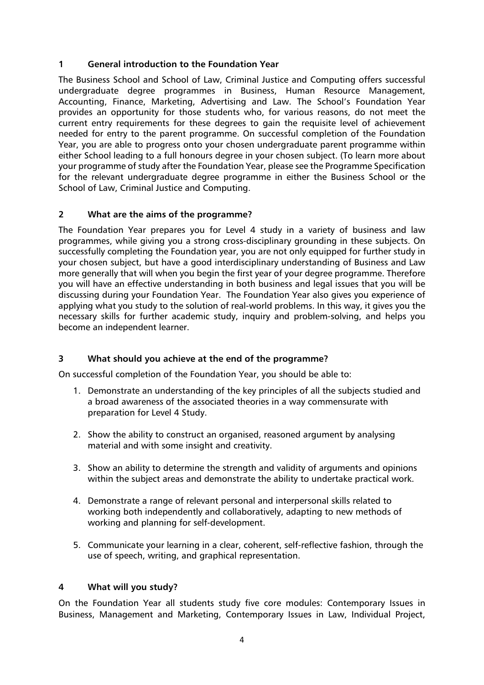## **1 General introduction to the Foundation Year**

The Business School and School of Law, Criminal Justice and Computing offers successful undergraduate degree programmes in Business, Human Resource Management, Accounting, Finance, Marketing, Advertising and Law. The School's Foundation Year provides an opportunity for those students who, for various reasons, do not meet the current entry requirements for these degrees to gain the requisite level of achievement needed for entry to the parent programme. On successful completion of the Foundation Year, you are able to progress onto your chosen undergraduate parent programme within either School leading to a full honours degree in your chosen subject. (To learn more about your programme of study after the Foundation Year, please see the Programme Specification for the relevant undergraduate degree programme in either the Business School or the School of Law, Criminal Justice and Computing.

## **2 What are the aims of the programme?**

The Foundation Year prepares you for Level 4 study in a variety of business and law programmes, while giving you a strong cross-disciplinary grounding in these subjects. On successfully completing the Foundation year, you are not only equipped for further study in your chosen subject, but have a good interdisciplinary understanding of Business and Law more generally that will when you begin the first year of your degree programme. Therefore you will have an effective understanding in both business and legal issues that you will be discussing during your Foundation Year. The Foundation Year also gives you experience of applying what you study to the solution of real-world problems. In this way, it gives you the necessary skills for further academic study, inquiry and problem-solving, and helps you become an independent learner.

## **3 What should you achieve at the end of the programme?**

On successful completion of the Foundation Year, you should be able to:

- 1. Demonstrate an understanding of the key principles of all the subjects studied and a broad awareness of the associated theories in a way commensurate with preparation for Level 4 Study.
- 2. Show the ability to construct an organised, reasoned argument by analysing material and with some insight and creativity.
- 3. Show an ability to determine the strength and validity of arguments and opinions within the subject areas and demonstrate the ability to undertake practical work.
- 4. Demonstrate a range of relevant personal and interpersonal skills related to working both independently and collaboratively, adapting to new methods of working and planning for self-development.
- 5. Communicate your learning in a clear, coherent, self-reflective fashion, through the use of speech, writing, and graphical representation.

## **4 What will you study?**

On the Foundation Year all students study five core modules: Contemporary Issues in Business, Management and Marketing, Contemporary Issues in Law, Individual Project,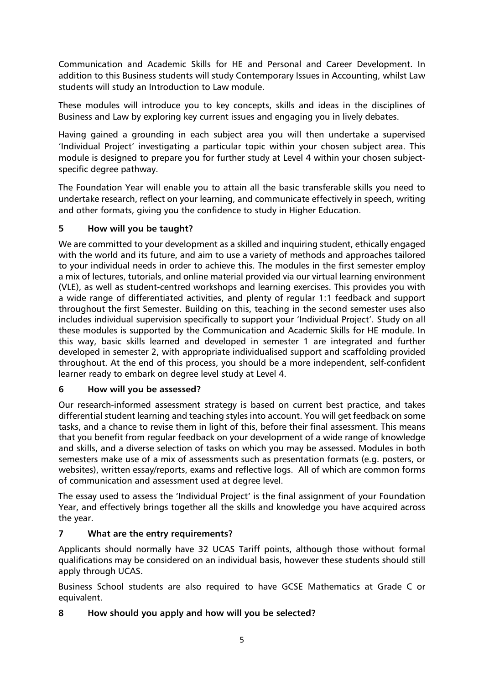Communication and Academic Skills for HE and Personal and Career Development. In addition to this Business students will study Contemporary Issues in Accounting, whilst Law students will study an Introduction to Law module.

These modules will introduce you to key concepts, skills and ideas in the disciplines of Business and Law by exploring key current issues and engaging you in lively debates.

Having gained a grounding in each subject area you will then undertake a supervised 'Individual Project' investigating a particular topic within your chosen subject area. This module is designed to prepare you for further study at Level 4 within your chosen subjectspecific degree pathway.

The Foundation Year will enable you to attain all the basic transferable skills you need to undertake research, reflect on your learning, and communicate effectively in speech, writing and other formats, giving you the confidence to study in Higher Education.

# **5 How will you be taught?**

We are committed to your development as a skilled and inquiring student, ethically engaged with the world and its future, and aim to use a variety of methods and approaches tailored to your individual needs in order to achieve this. The modules in the first semester employ a mix of lectures, tutorials, and online material provided via our virtual learning environment (VLE), as well as student-centred workshops and learning exercises. This provides you with a wide range of differentiated activities, and plenty of regular 1:1 feedback and support throughout the first Semester. Building on this, teaching in the second semester uses also includes individual supervision specifically to support your 'Individual Project'. Study on all these modules is supported by the Communication and Academic Skills for HE module. In this way, basic skills learned and developed in semester 1 are integrated and further developed in semester 2, with appropriate individualised support and scaffolding provided throughout. At the end of this process, you should be a more independent, self-confident learner ready to embark on degree level study at Level 4.

# **6 How will you be assessed?**

Our research-informed assessment strategy is based on current best practice, and takes differential student learning and teaching styles into account. You will get feedback on some tasks, and a chance to revise them in light of this, before their final assessment. This means that you benefit from regular feedback on your development of a wide range of knowledge and skills, and a diverse selection of tasks on which you may be assessed. Modules in both semesters make use of a mix of assessments such as presentation formats (e.g. posters, or websites), written essay/reports, exams and reflective logs. All of which are common forms of communication and assessment used at degree level.

The essay used to assess the 'Individual Project' is the final assignment of your Foundation Year, and effectively brings together all the skills and knowledge you have acquired across the year.

# **7 What are the entry requirements?**

Applicants should normally have 32 UCAS Tariff points, although those without formal qualifications may be considered on an individual basis, however these students should still apply through UCAS.

Business School students are also required to have GCSE Mathematics at Grade C or equivalent.

# **8 How should you apply and how will you be selected?**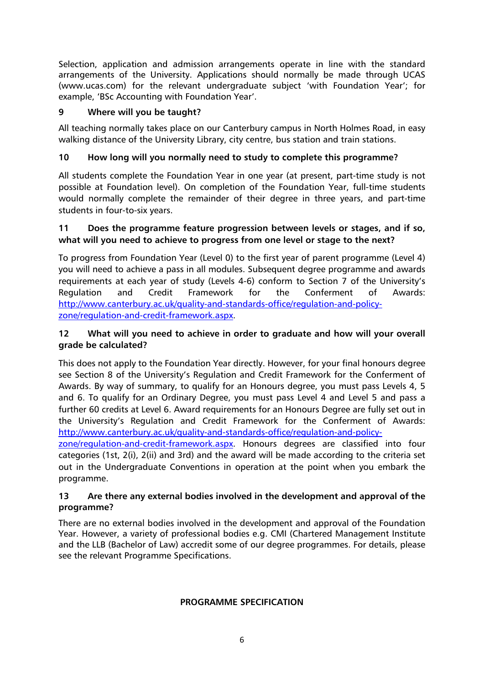Selection, application and admission arrangements operate in line with the standard arrangements of the University. Applications should normally be made through UCAS (www.ucas.com) for the relevant undergraduate subject 'with Foundation Year'; for example, 'BSc Accounting with Foundation Year'.

# **9 Where will you be taught?**

All teaching normally takes place on our Canterbury campus in North Holmes Road, in easy walking distance of the University Library, city centre, bus station and train stations.

## **10 How long will you normally need to study to complete this programme?**

All students complete the Foundation Year in one year (at present, part-time study is not possible at Foundation level). On completion of the Foundation Year, full-time students would normally complete the remainder of their degree in three years, and part-time students in four-to-six years.

## **11 Does the programme feature progression between levels or stages, and if so, what will you need to achieve to progress from one level or stage to the next?**

To progress from Foundation Year (Level 0) to the first year of parent programme (Level 4) you will need to achieve a pass in all modules. Subsequent degree programme and awards requirements at each year of study (Levels 4-6) conform to Section 7 of the University's Regulation and Credit Framework for the Conferment of Awards: [http://www.canterbury.ac.uk/quality-and-standards-office/regulation-and-policy](http://www.canterbury.ac.uk/quality-and-standards-office/regulation-and-policy-zone/regulation-and-credit-framework.aspx)[zone/regulation-and-credit-framework.aspx.](http://www.canterbury.ac.uk/quality-and-standards-office/regulation-and-policy-zone/regulation-and-credit-framework.aspx)

## **12 What will you need to achieve in order to graduate and how will your overall grade be calculated?**

This does not apply to the Foundation Year directly. However, for your final honours degree see Section 8 of the University's Regulation and Credit Framework for the Conferment of Awards. By way of summary, to qualify for an Honours degree, you must pass Levels 4, 5 and 6. To qualify for an Ordinary Degree, you must pass Level 4 and Level 5 and pass a further 60 credits at Level 6. Award requirements for an Honours Degree are fully set out in the University's Regulation and Credit Framework for the Conferment of Awards: [http://www.canterbury.ac.uk/quality-and-standards-office/regulation-and-policy-](http://www.canterbury.ac.uk/quality-and-standards-office/regulation-and-policy-zone/regulation-and-credit-framework.aspx)

[zone/regulation-and-credit-framework.aspx.](http://www.canterbury.ac.uk/quality-and-standards-office/regulation-and-policy-zone/regulation-and-credit-framework.aspx) Honours degrees are classified into four categories (1st, 2(i), 2(ii) and 3rd) and the award will be made according to the criteria set out in the Undergraduate Conventions in operation at the point when you embark the programme.

## **13 Are there any external bodies involved in the development and approval of the programme?**

There are no external bodies involved in the development and approval of the Foundation Year. However, a variety of professional bodies e.g. CMI (Chartered Management Institute and the LLB (Bachelor of Law) accredit some of our degree programmes. For details, please see the relevant Programme Specifications.

## **PROGRAMME SPECIFICATION**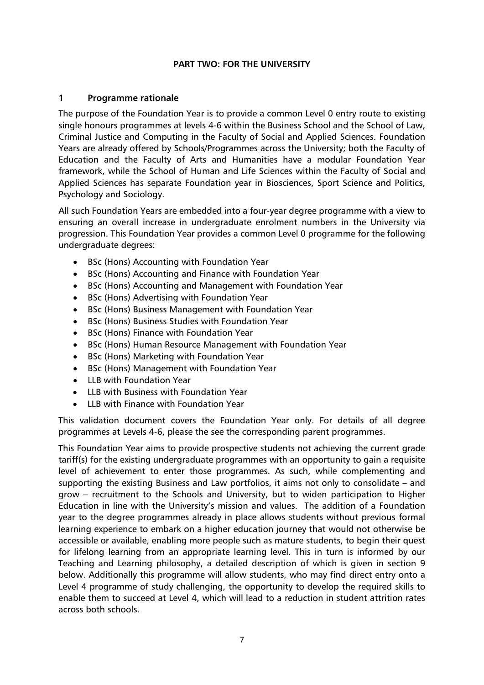## **PART TWO: FOR THE UNIVERSITY**

## **1 Programme rationale**

The purpose of the Foundation Year is to provide a common Level 0 entry route to existing single honours programmes at levels 4-6 within the Business School and the School of Law, Criminal Justice and Computing in the Faculty of Social and Applied Sciences. Foundation Years are already offered by Schools/Programmes across the University; both the Faculty of Education and the Faculty of Arts and Humanities have a modular Foundation Year framework, while the School of Human and Life Sciences within the Faculty of Social and Applied Sciences has separate Foundation year in Biosciences, Sport Science and Politics, Psychology and Sociology.

All such Foundation Years are embedded into a four-year degree programme with a view to ensuring an overall increase in undergraduate enrolment numbers in the University via progression. This Foundation Year provides a common Level 0 programme for the following undergraduate degrees:

- BSc (Hons) Accounting with Foundation Year
- BSc (Hons) Accounting and Finance with Foundation Year
- BSc (Hons) Accounting and Management with Foundation Year
- BSc (Hons) Advertising with Foundation Year
- BSc (Hons) Business Management with Foundation Year
- BSc (Hons) Business Studies with Foundation Year
- BSc (Hons) Finance with Foundation Year
- BSc (Hons) Human Resource Management with Foundation Year
- BSc (Hons) Marketing with Foundation Year
- BSc (Hons) Management with Foundation Year
- LLB with Foundation Year
- LLB with Business with Foundation Year
- LLB with Finance with Foundation Year

This validation document covers the Foundation Year only. For details of all degree programmes at Levels 4-6, please the see the corresponding parent programmes.

This Foundation Year aims to provide prospective students not achieving the current grade tariff(s) for the existing undergraduate programmes with an opportunity to gain a requisite level of achievement to enter those programmes. As such, while complementing and supporting the existing Business and Law portfolios, it aims not only to consolidate – and grow – recruitment to the Schools and University, but to widen participation to Higher Education in line with the University's mission and values. The addition of a Foundation year to the degree programmes already in place allows students without previous formal learning experience to embark on a higher education journey that would not otherwise be accessible or available, enabling more people such as mature students, to begin their quest for lifelong learning from an appropriate learning level. This in turn is informed by our Teaching and Learning philosophy, a detailed description of which is given in section 9 below. Additionally this programme will allow students, who may find direct entry onto a Level 4 programme of study challenging, the opportunity to develop the required skills to enable them to succeed at Level 4, which will lead to a reduction in student attrition rates across both schools.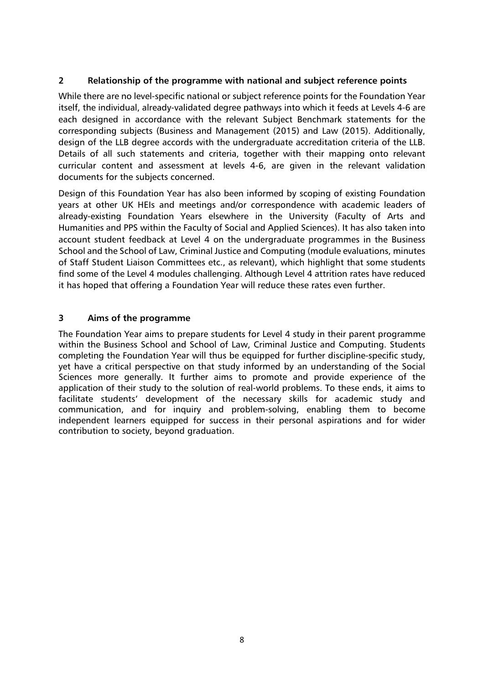## **2 Relationship of the programme with national and subject reference points**

While there are no level-specific national or subject reference points for the Foundation Year itself, the individual, already-validated degree pathways into which it feeds at Levels 4-6 are each designed in accordance with the relevant Subject Benchmark statements for the corresponding subjects (Business and Management (2015) and Law (2015). Additionally, design of the LLB degree accords with the undergraduate accreditation criteria of the LLB. Details of all such statements and criteria, together with their mapping onto relevant curricular content and assessment at levels 4-6, are given in the relevant validation documents for the subjects concerned.

Design of this Foundation Year has also been informed by scoping of existing Foundation years at other UK HEIs and meetings and/or correspondence with academic leaders of already-existing Foundation Years elsewhere in the University (Faculty of Arts and Humanities and PPS within the Faculty of Social and Applied Sciences). It has also taken into account student feedback at Level 4 on the undergraduate programmes in the Business School and the School of Law, Criminal Justice and Computing (module evaluations, minutes of Staff Student Liaison Committees etc., as relevant), which highlight that some students find some of the Level 4 modules challenging. Although Level 4 attrition rates have reduced it has hoped that offering a Foundation Year will reduce these rates even further.

## **3 Aims of the programme**

The Foundation Year aims to prepare students for Level 4 study in their parent programme within the Business School and School of Law, Criminal Justice and Computing. Students completing the Foundation Year will thus be equipped for further discipline-specific study, yet have a critical perspective on that study informed by an understanding of the Social Sciences more generally. It further aims to promote and provide experience of the application of their study to the solution of real-world problems. To these ends, it aims to facilitate students' development of the necessary skills for academic study and communication, and for inquiry and problem-solving, enabling them to become independent learners equipped for success in their personal aspirations and for wider contribution to society, beyond graduation.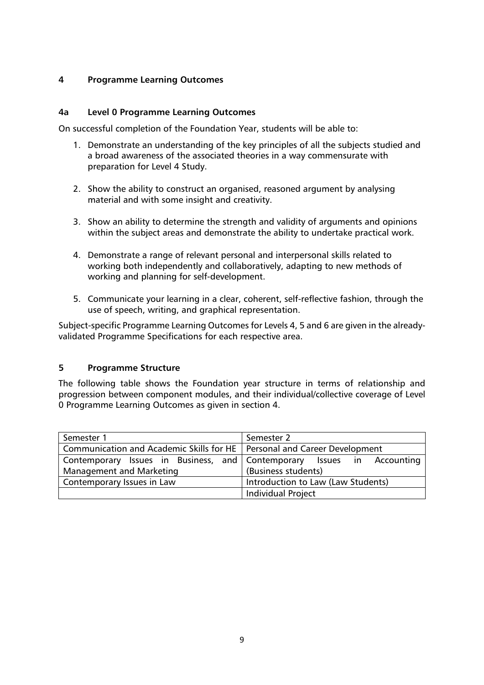## **4 Programme Learning Outcomes**

## **4a Level 0 Programme Learning Outcomes**

On successful completion of the Foundation Year, students will be able to:

- 1. Demonstrate an understanding of the key principles of all the subjects studied and a broad awareness of the associated theories in a way commensurate with preparation for Level 4 Study.
- 2. Show the ability to construct an organised, reasoned argument by analysing material and with some insight and creativity.
- 3. Show an ability to determine the strength and validity of arguments and opinions within the subject areas and demonstrate the ability to undertake practical work.
- 4. Demonstrate a range of relevant personal and interpersonal skills related to working both independently and collaboratively, adapting to new methods of working and planning for self-development.
- 5. Communicate your learning in a clear, coherent, self-reflective fashion, through the use of speech, writing, and graphical representation.

Subject-specific Programme Learning Outcomes for Levels 4, 5 and 6 are given in the alreadyvalidated Programme Specifications for each respective area.

#### **5 Programme Structure**

The following table shows the Foundation year structure in terms of relationship and progression between component modules, and their individual/collective coverage of Level 0 Programme Learning Outcomes as given in section 4.

| Semester 1                                                                 | Semester 2                         |
|----------------------------------------------------------------------------|------------------------------------|
| Communication and Academic Skills for HE   Personal and Career Development |                                    |
| Contemporary Issues in Business, and Contemporary Issues in Accounting     |                                    |
| <b>Management and Marketing</b>                                            | (Business students)                |
| Contemporary Issues in Law                                                 | Introduction to Law (Law Students) |
|                                                                            | <b>Individual Project</b>          |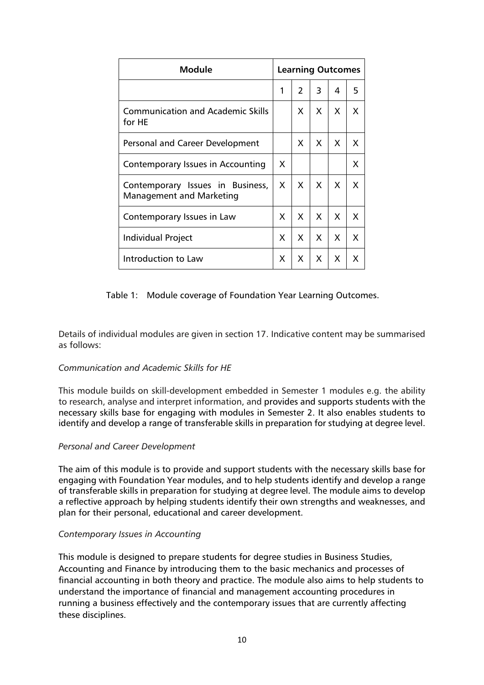| Module                                                              | <b>Learning Outcomes</b> |              |    |              |   |
|---------------------------------------------------------------------|--------------------------|--------------|----|--------------|---|
|                                                                     | 1                        | 2            | 3  | 4            | 5 |
| <b>Communication and Academic Skills</b><br>for HE                  |                          | X.           | X. | X.           | X |
| Personal and Career Development                                     |                          | X            | X  | X            | X |
| Contemporary Issues in Accounting                                   | X                        |              |    |              | X |
| Contemporary Issues in Business,<br><b>Management and Marketing</b> | X.                       | X            | X  | X.           | X |
| Contemporary Issues in Law                                          | X                        | $\mathsf{X}$ | X  | X.           | X |
| <b>Individual Project</b>                                           | X                        | $\mathsf{X}$ | X  | $\mathsf{X}$ | X |
| Introduction to Law                                                 | x                        | X            | X  | X.           | X |

Table 1: Module coverage of Foundation Year Learning Outcomes.

Details of individual modules are given in section 17. Indicative content may be summarised as follows:

#### *Communication and Academic Skills for HE*

This module builds on skill-development embedded in Semester 1 modules e.g. the ability to research, analyse and interpret information, and provides and supports students with the necessary skills base for engaging with modules in Semester 2. It also enables students to identify and develop a range of transferable skills in preparation for studying at degree level.

#### *Personal and Career Development*

The aim of this module is to provide and support students with the necessary skills base for engaging with Foundation Year modules, and to help students identify and develop a range of transferable skills in preparation for studying at degree level. The module aims to develop a reflective approach by helping students identify their own strengths and weaknesses, and plan for their personal, educational and career development.

#### *Contemporary Issues in Accounting*

This module is designed to prepare students for degree studies in Business Studies, Accounting and Finance by introducing them to the basic mechanics and processes of financial accounting in both theory and practice. The module also aims to help students to understand the importance of financial and management accounting procedures in running a business effectively and the contemporary issues that are currently affecting these disciplines.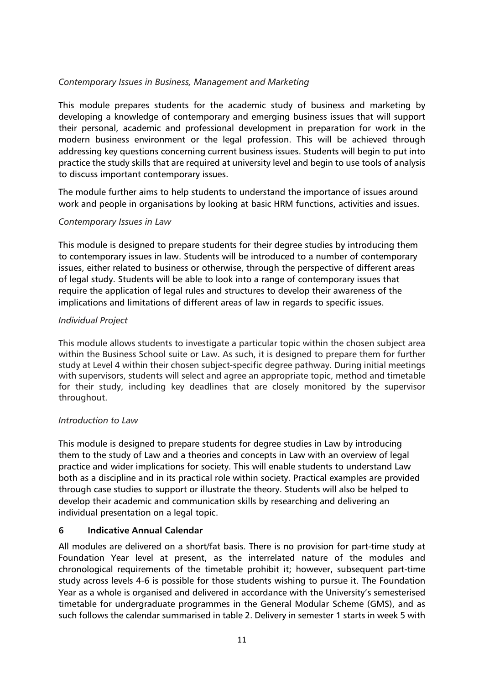## *Contemporary Issues in Business, Management and Marketing*

This module prepares students for the academic study of business and marketing by developing a knowledge of contemporary and emerging business issues that will support their personal, academic and professional development in preparation for work in the modern business environment or the legal profession. This will be achieved through addressing key questions concerning current business issues. Students will begin to put into practice the study skills that are required at university level and begin to use tools of analysis to discuss important contemporary issues.

The module further aims to help students to understand the importance of issues around work and people in organisations by looking at basic HRM functions, activities and issues.

## *Contemporary Issues in Law*

This module is designed to prepare students for their degree studies by introducing them to contemporary issues in law. Students will be introduced to a number of contemporary issues, either related to business or otherwise, through the perspective of different areas of legal study. Students will be able to look into a range of contemporary issues that require the application of legal rules and structures to develop their awareness of the implications and limitations of different areas of law in regards to specific issues.

## *Individual Project*

This module allows students to investigate a particular topic within the chosen subject area within the Business School suite or Law. As such, it is designed to prepare them for further study at Level 4 within their chosen subject-specific degree pathway. During initial meetings with supervisors, students will select and agree an appropriate topic, method and timetable for their study, including key deadlines that are closely monitored by the supervisor throughout.

## *Introduction to Law*

This module is designed to prepare students for degree studies in Law by introducing them to the study of Law and a theories and concepts in Law with an overview of legal practice and wider implications for society. This will enable students to understand Law both as a discipline and in its practical role within society. Practical examples are provided through case studies to support or illustrate the theory. Students will also be helped to develop their academic and communication skills by researching and delivering an individual presentation on a legal topic.

## **6 Indicative Annual Calendar**

All modules are delivered on a short/fat basis. There is no provision for part-time study at Foundation Year level at present, as the interrelated nature of the modules and chronological requirements of the timetable prohibit it; however, subsequent part-time study across levels 4-6 is possible for those students wishing to pursue it. The Foundation Year as a whole is organised and delivered in accordance with the University's semesterised timetable for undergraduate programmes in the General Modular Scheme (GMS), and as such follows the calendar summarised in table 2. Delivery in semester 1 starts in week 5 with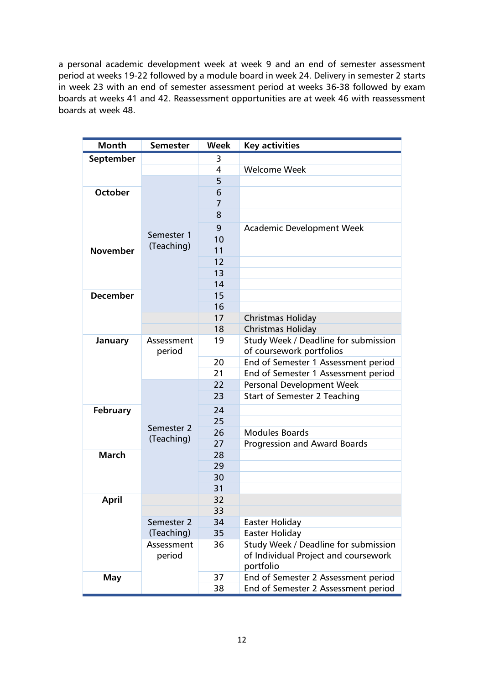a personal academic development week at week 9 and an end of semester assessment period at weeks 19-22 followed by a module board in week 24. Delivery in semester 2 starts in week 23 with an end of semester assessment period at weeks 36-38 followed by exam boards at weeks 41 and 42. Reassessment opportunities are at week 46 with reassessment boards at week 48.

| <b>Month</b>    | <b>Semester</b> | <b>Week</b> | <b>Key activities</b>                |
|-----------------|-----------------|-------------|--------------------------------------|
| September       |                 | 3           |                                      |
|                 |                 | 4           | <b>Welcome Week</b>                  |
|                 |                 | 5           |                                      |
| <b>October</b>  |                 | 6           |                                      |
|                 |                 | 7           |                                      |
|                 |                 | 8           |                                      |
|                 |                 | 9           | <b>Academic Development Week</b>     |
|                 | Semester 1      | 10          |                                      |
| <b>November</b> | (Teaching)      | 11          |                                      |
|                 |                 | 12          |                                      |
|                 |                 | 13          |                                      |
|                 |                 | 14          |                                      |
| <b>December</b> |                 | 15          |                                      |
|                 |                 | 16          |                                      |
|                 |                 | 17          | <b>Christmas Holiday</b>             |
|                 |                 | 18          | <b>Christmas Holiday</b>             |
| January         | Assessment      | 19          | Study Week / Deadline for submission |
|                 | period          |             | of coursework portfolios             |
|                 |                 | 20          | End of Semester 1 Assessment period  |
|                 |                 | 21          | End of Semester 1 Assessment period  |
|                 |                 | 22          | Personal Development Week            |
|                 |                 | 23          | <b>Start of Semester 2 Teaching</b>  |
| <b>February</b> |                 | 24          |                                      |
|                 |                 | 25          |                                      |
|                 | Semester 2      | 26          | <b>Modules Boards</b>                |
|                 | (Teaching)      | 27          | <b>Progression and Award Boards</b>  |
| <b>March</b>    |                 | 28          |                                      |
|                 |                 | 29          |                                      |
|                 |                 | 30          |                                      |
|                 |                 | 31          |                                      |
| April           |                 | 32          |                                      |
|                 |                 | 33          |                                      |
|                 | Semester 2      | 34          | <b>Easter Holiday</b>                |
|                 | (Teaching)      | 35          | Easter Holiday                       |
|                 | Assessment      | 36          | Study Week / Deadline for submission |
|                 | period          |             | of Individual Project and coursework |
|                 |                 |             | portfolio                            |
| May             |                 | 37          | End of Semester 2 Assessment period  |
|                 |                 | 38          | End of Semester 2 Assessment period  |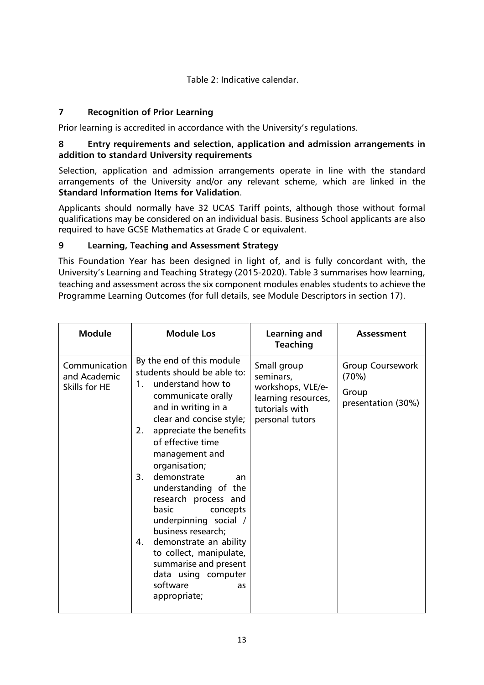## Table 2: Indicative calendar.

## **7 Recognition of Prior Learning**

Prior learning is accredited in accordance with the University's regulations.

## **8 Entry requirements and selection, application and admission arrangements in addition to standard University requirements**

Selection, application and admission arrangements operate in line with the standard arrangements of the University and/or any relevant scheme, which are linked in the **Standard Information Items for Validation**.

Applicants should normally have 32 UCAS Tariff points, although those without formal qualifications may be considered on an individual basis. Business School applicants are also required to have GCSE Mathematics at Grade C or equivalent.

## **9 Learning, Teaching and Assessment Strategy**

This Foundation Year has been designed in light of, and is fully concordant with, the University's Learning and Teaching Strategy (2015-2020). Table 3 summarises how learning, teaching and assessment across the six component modules enables students to achieve the Programme Learning Outcomes (for full details, see Module Descriptors in section 17).

| <b>Module</b>                                  | <b>Module Los</b>                                                                                                                                                                                                                                                                                                                                                                                                                                                                                                                              | Learning and<br><b>Teaching</b>                                                                           | Assessment                                               |
|------------------------------------------------|------------------------------------------------------------------------------------------------------------------------------------------------------------------------------------------------------------------------------------------------------------------------------------------------------------------------------------------------------------------------------------------------------------------------------------------------------------------------------------------------------------------------------------------------|-----------------------------------------------------------------------------------------------------------|----------------------------------------------------------|
| Communication<br>and Academic<br>Skills for HE | By the end of this module<br>students should be able to:<br>1. understand how to<br>communicate orally<br>and in writing in a<br>clear and concise style;<br>appreciate the benefits<br>2.<br>of effective time<br>management and<br>organisation;<br>demonstrate<br>3.<br>an<br>understanding of the<br>research process and<br>basic<br>concepts<br>underpinning social /<br>business research;<br>demonstrate an ability<br>4.<br>to collect, manipulate,<br>summarise and present<br>data using computer<br>software<br>as<br>appropriate; | Small group<br>seminars,<br>workshops, VLE/e-<br>learning resources,<br>tutorials with<br>personal tutors | Group Coursework<br>(70%)<br>Group<br>presentation (30%) |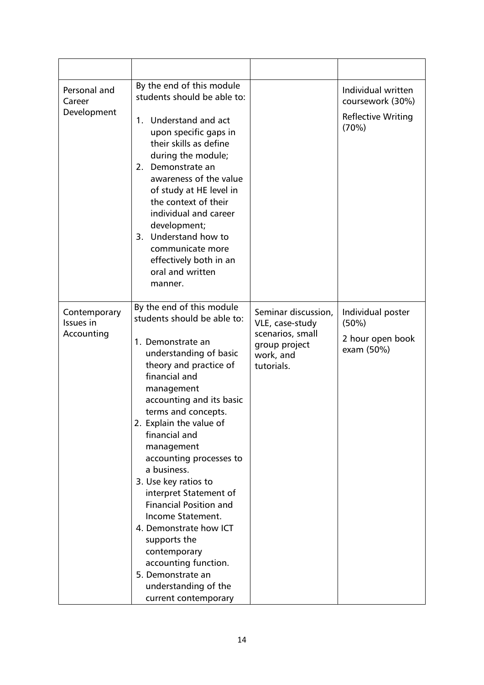| Personal and<br>Career<br>Development   | By the end of this module<br>students should be able to:<br>1. Understand and act<br>upon specific gaps in<br>their skills as define<br>during the module;<br>2. Demonstrate an<br>awareness of the value<br>of study at HE level in<br>the context of their<br>individual and career<br>development;<br>3. Understand how to<br>communicate more<br>effectively both in an<br>oral and written<br>manner.                                                                                                                                                                             |                                                                                                        | Individual written<br>coursework (30%)<br><b>Reflective Writing</b><br>(70%) |
|-----------------------------------------|----------------------------------------------------------------------------------------------------------------------------------------------------------------------------------------------------------------------------------------------------------------------------------------------------------------------------------------------------------------------------------------------------------------------------------------------------------------------------------------------------------------------------------------------------------------------------------------|--------------------------------------------------------------------------------------------------------|------------------------------------------------------------------------------|
| Contemporary<br>Issues in<br>Accounting | By the end of this module<br>students should be able to:<br>1. Demonstrate an<br>understanding of basic<br>theory and practice of<br>financial and<br>management<br>accounting and its basic<br>terms and concepts.<br>2. Explain the value of<br>financial and<br>management<br>accounting processes to<br>a business.<br>3. Use key ratios to<br>interpret Statement of<br><b>Financial Position and</b><br>Income Statement.<br>4. Demonstrate how ICT<br>supports the<br>contemporary<br>accounting function.<br>5. Demonstrate an<br>understanding of the<br>current contemporary | Seminar discussion,<br>VLE, case-study<br>scenarios, small<br>group project<br>work, and<br>tutorials. | Individual poster<br>(50%)<br>2 hour open book<br>exam (50%)                 |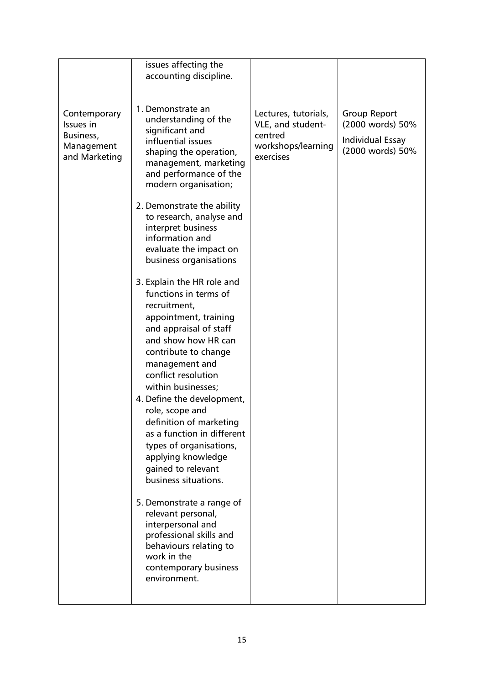|                                                                       | issues affecting the<br>accounting discipline.                                                                                                                                                                                                                                                                                                                                                                                                                                                                                                                                                                                                                                                                                                                                                                                                                                                                                                                                       |                                                                                         |                                                                                        |
|-----------------------------------------------------------------------|--------------------------------------------------------------------------------------------------------------------------------------------------------------------------------------------------------------------------------------------------------------------------------------------------------------------------------------------------------------------------------------------------------------------------------------------------------------------------------------------------------------------------------------------------------------------------------------------------------------------------------------------------------------------------------------------------------------------------------------------------------------------------------------------------------------------------------------------------------------------------------------------------------------------------------------------------------------------------------------|-----------------------------------------------------------------------------------------|----------------------------------------------------------------------------------------|
| Contemporary<br>Issues in<br>Business,<br>Management<br>and Marketing | 1. Demonstrate an<br>understanding of the<br>significant and<br>influential issues<br>shaping the operation,<br>management, marketing<br>and performance of the<br>modern organisation;<br>2. Demonstrate the ability<br>to research, analyse and<br>interpret business<br>information and<br>evaluate the impact on<br>business organisations<br>3. Explain the HR role and<br>functions in terms of<br>recruitment,<br>appointment, training<br>and appraisal of staff<br>and show how HR can<br>contribute to change<br>management and<br>conflict resolution<br>within businesses;<br>4. Define the development,<br>role, scope and<br>definition of marketing<br>as a function in different<br>types of organisations,<br>applying knowledge<br>gained to relevant<br>business situations.<br>5. Demonstrate a range of<br>relevant personal,<br>interpersonal and<br>professional skills and<br>behaviours relating to<br>work in the<br>contemporary business<br>environment. | Lectures, tutorials,<br>VLE, and student-<br>centred<br>workshops/learning<br>exercises | <b>Group Report</b><br>(2000 words) 50%<br><b>Individual Essay</b><br>(2000 words) 50% |
|                                                                       |                                                                                                                                                                                                                                                                                                                                                                                                                                                                                                                                                                                                                                                                                                                                                                                                                                                                                                                                                                                      |                                                                                         |                                                                                        |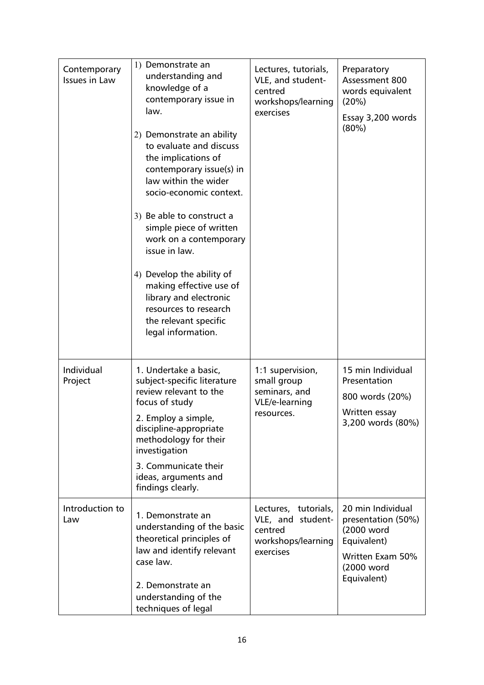| Contemporary<br><b>Issues in Law</b> | 1) Demonstrate an<br>understanding and<br>knowledge of a<br>contemporary issue in<br>law.<br>2) Demonstrate an ability<br>to evaluate and discuss<br>the implications of<br>contemporary issue(s) in<br>law within the wider<br>socio-economic context.<br>3) Be able to construct a<br>simple piece of written<br>work on a contemporary<br>issue in law.<br>4) Develop the ability of<br>making effective use of<br>library and electronic<br>resources to research<br>the relevant specific<br>legal information. | Lectures, tutorials,<br>VLE, and student-<br>centred<br>workshops/learning<br>exercises | Preparatory<br>Assessment 800<br>words equivalent<br>(20%)<br>Essay 3,200 words<br>(80%)                              |
|--------------------------------------|----------------------------------------------------------------------------------------------------------------------------------------------------------------------------------------------------------------------------------------------------------------------------------------------------------------------------------------------------------------------------------------------------------------------------------------------------------------------------------------------------------------------|-----------------------------------------------------------------------------------------|-----------------------------------------------------------------------------------------------------------------------|
| Individual<br>Project                | 1. Undertake a basic,<br>subject-specific literature<br>review relevant to the<br>focus of study<br>2. Employ a simple,<br>discipline-appropriate<br>methodology for their<br>investigation<br>3. Communicate their<br>ideas, arguments and<br>findings clearly.                                                                                                                                                                                                                                                     | 1:1 supervision,<br>small group<br>seminars, and<br>VLE/e-learning<br>resources.        | 15 min Individual<br>Presentation<br>800 words (20%)<br>Written essay<br>3,200 words (80%)                            |
| Introduction to<br>Law               | 1. Demonstrate an<br>understanding of the basic<br>theoretical principles of<br>law and identify relevant<br>case law.<br>2. Demonstrate an<br>understanding of the<br>techniques of legal                                                                                                                                                                                                                                                                                                                           | Lectures, tutorials,<br>VLE, and student-<br>centred<br>workshops/learning<br>exercises | 20 min Individual<br>presentation (50%)<br>(2000 word<br>Equivalent)<br>Written Exam 50%<br>(2000 word<br>Equivalent) |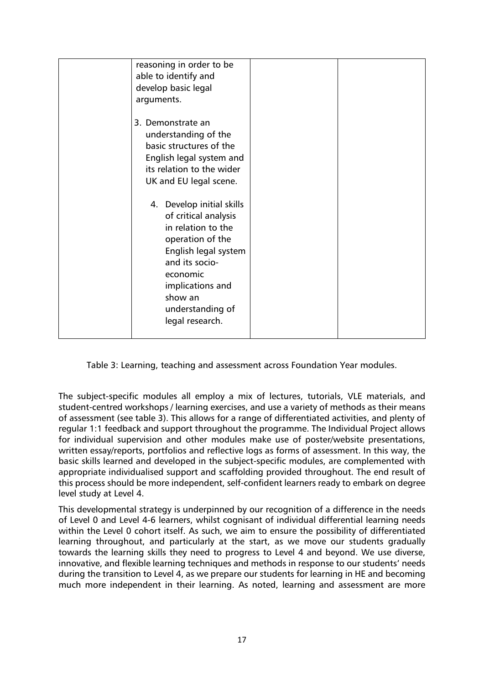| reasoning in order to be<br>able to identify and<br>develop basic legal<br>arguments.                                                                                                                                                                                                                                                                                              |
|------------------------------------------------------------------------------------------------------------------------------------------------------------------------------------------------------------------------------------------------------------------------------------------------------------------------------------------------------------------------------------|
| 3. Demonstrate an<br>understanding of the<br>basic structures of the<br>English legal system and<br>its relation to the wider<br>UK and EU legal scene.<br>4. Develop initial skills<br>of critical analysis<br>in relation to the<br>operation of the<br>English legal system<br>and its socio-<br>economic<br>implications and<br>show an<br>understanding of<br>legal research. |

Table 3: Learning, teaching and assessment across Foundation Year modules.

The subject-specific modules all employ a mix of lectures, tutorials, VLE materials, and student-centred workshops / learning exercises, and use a variety of methods as their means of assessment (see table 3). This allows for a range of differentiated activities, and plenty of regular 1:1 feedback and support throughout the programme. The Individual Project allows for individual supervision and other modules make use of poster/website presentations, written essay/reports, portfolios and reflective logs as forms of assessment. In this way, the basic skills learned and developed in the subject-specific modules, are complemented with appropriate individualised support and scaffolding provided throughout. The end result of this process should be more independent, self-confident learners ready to embark on degree level study at Level 4.

This developmental strategy is underpinned by our recognition of a difference in the needs of Level 0 and Level 4-6 learners, whilst cognisant of individual differential learning needs within the Level 0 cohort itself. As such, we aim to ensure the possibility of differentiated learning throughout, and particularly at the start, as we move our students gradually towards the learning skills they need to progress to Level 4 and beyond. We use diverse, innovative, and flexible learning techniques and methods in response to our students' needs during the transition to Level 4, as we prepare our students for learning in HE and becoming much more independent in their learning. As noted, learning and assessment are more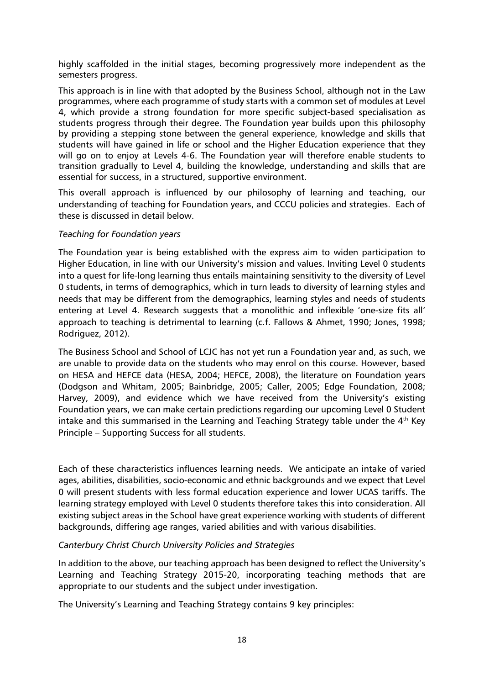highly scaffolded in the initial stages, becoming progressively more independent as the semesters progress.

This approach is in line with that adopted by the Business School, although not in the Law programmes, where each programme of study starts with a common set of modules at Level 4, which provide a strong foundation for more specific subject-based specialisation as students progress through their degree. The Foundation year builds upon this philosophy by providing a stepping stone between the general experience, knowledge and skills that students will have gained in life or school and the Higher Education experience that they will go on to enjoy at Levels 4-6. The Foundation year will therefore enable students to transition gradually to Level 4, building the knowledge, understanding and skills that are essential for success, in a structured, supportive environment.

This overall approach is influenced by our philosophy of learning and teaching, our understanding of teaching for Foundation years, and CCCU policies and strategies. Each of these is discussed in detail below.

## *Teaching for Foundation years*

The Foundation year is being established with the express aim to widen participation to Higher Education, in line with our University's mission and values. Inviting Level 0 students into a quest for life-long learning thus entails maintaining sensitivity to the diversity of Level 0 students, in terms of demographics, which in turn leads to diversity of learning styles and needs that may be different from the demographics, learning styles and needs of students entering at Level 4. Research suggests that a monolithic and inflexible 'one-size fits all' approach to teaching is detrimental to learning (c.f. Fallows & Ahmet, 1990; Jones, 1998; Rodriguez, 2012).

The Business School and School of LCJC has not yet run a Foundation year and, as such, we are unable to provide data on the students who may enrol on this course. However, based on HESA and HEFCE data (HESA, 2004; HEFCE, 2008), the literature on Foundation years (Dodgson and Whitam, 2005; Bainbridge, 2005; Caller, 2005; Edge Foundation, 2008; Harvey, 2009), and evidence which we have received from the University's existing Foundation years, we can make certain predictions regarding our upcoming Level 0 Student intake and this summarised in the Learning and Teaching Strategy table under the 4<sup>th</sup> Key Principle – Supporting Success for all students.

Each of these characteristics influences learning needs. We anticipate an intake of varied ages, abilities, disabilities, socio-economic and ethnic backgrounds and we expect that Level 0 will present students with less formal education experience and lower UCAS tariffs. The learning strategy employed with Level 0 students therefore takes this into consideration. All existing subject areas in the School have great experience working with students of different backgrounds, differing age ranges, varied abilities and with various disabilities.

## *Canterbury Christ Church University Policies and Strategies*

In addition to the above, our teaching approach has been designed to reflect the University's Learning and Teaching Strategy 2015-20, incorporating teaching methods that are appropriate to our students and the subject under investigation.

The University's Learning and Teaching Strategy contains 9 key principles: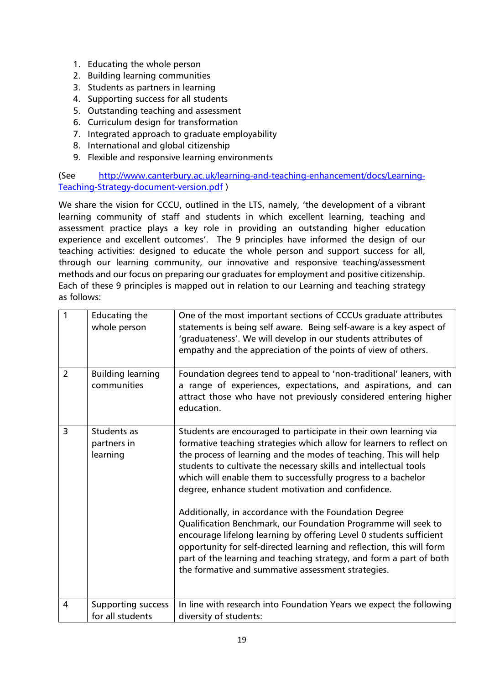- 1. Educating the whole person
- 2. Building learning communities
- 3. Students as partners in learning
- 4. Supporting success for all students
- 5. Outstanding teaching and assessment
- 6. Curriculum design for transformation
- 7. Integrated approach to graduate employability
- 8. International and global citizenship
- 9. Flexible and responsive learning environments

(See [http://www.canterbury.ac.uk/learning-and-teaching-enhancement/docs/Learning-](http://www.canterbury.ac.uk/learning-and-teaching-enhancement/docs/Learning-Teaching-Strategy-document-version.pdf)[Teaching-Strategy-document-version.pdf](http://www.canterbury.ac.uk/learning-and-teaching-enhancement/docs/Learning-Teaching-Strategy-document-version.pdf) )

We share the vision for CCCU, outlined in the LTS, namely, 'the development of a vibrant learning community of staff and students in which excellent learning, teaching and assessment practice plays a key role in providing an outstanding higher education experience and excellent outcomes'. The 9 principles have informed the design of our teaching activities: designed to educate the whole person and support success for all, through our learning community, our innovative and responsive teaching/assessment methods and our focus on preparing our graduates for employment and positive citizenship. Each of these 9 principles is mapped out in relation to our Learning and teaching strategy as follows:

| $\mathbf{1}$   | <b>Educating the</b><br>whole person          | One of the most important sections of CCCUs graduate attributes<br>statements is being self aware. Being self-aware is a key aspect of<br>'graduateness'. We will develop in our students attributes of<br>empathy and the appreciation of the points of view of others.                                                                                                                                                                                                                                                                                                                                                                                                                                                                                                                                           |
|----------------|-----------------------------------------------|--------------------------------------------------------------------------------------------------------------------------------------------------------------------------------------------------------------------------------------------------------------------------------------------------------------------------------------------------------------------------------------------------------------------------------------------------------------------------------------------------------------------------------------------------------------------------------------------------------------------------------------------------------------------------------------------------------------------------------------------------------------------------------------------------------------------|
| $\overline{2}$ | <b>Building learning</b><br>communities       | Foundation degrees tend to appeal to 'non-traditional' leaners, with<br>a range of experiences, expectations, and aspirations, and can<br>attract those who have not previously considered entering higher<br>education.                                                                                                                                                                                                                                                                                                                                                                                                                                                                                                                                                                                           |
| 3              | Students as<br>partners in<br>learning        | Students are encouraged to participate in their own learning via<br>formative teaching strategies which allow for learners to reflect on<br>the process of learning and the modes of teaching. This will help<br>students to cultivate the necessary skills and intellectual tools<br>which will enable them to successfully progress to a bachelor<br>degree, enhance student motivation and confidence.<br>Additionally, in accordance with the Foundation Degree<br>Qualification Benchmark, our Foundation Programme will seek to<br>encourage lifelong learning by offering Level 0 students sufficient<br>opportunity for self-directed learning and reflection, this will form<br>part of the learning and teaching strategy, and form a part of both<br>the formative and summative assessment strategies. |
| $\overline{4}$ | <b>Supporting success</b><br>for all students | In line with research into Foundation Years we expect the following<br>diversity of students:                                                                                                                                                                                                                                                                                                                                                                                                                                                                                                                                                                                                                                                                                                                      |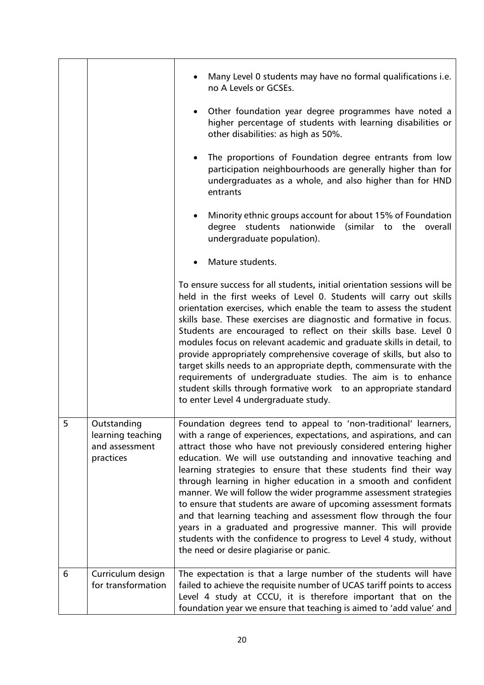|   |                                                                 | Many Level 0 students may have no formal qualifications i.e.<br>no A Levels or GCSEs.<br>Other foundation year degree programmes have noted a<br>$\bullet$<br>higher percentage of students with learning disabilities or<br>other disabilities: as high as 50%.<br>The proportions of Foundation degree entrants from low<br>participation neighbourhoods are generally higher than for<br>undergraduates as a whole, and also higher than for HND<br>entrants<br>Minority ethnic groups account for about 15% of Foundation<br>students<br>nationwide<br>degree<br>(similar to<br>the overall<br>undergraduate population).<br>Mature students.<br>To ensure success for all students, initial orientation sessions will be<br>held in the first weeks of Level 0. Students will carry out skills<br>orientation exercises, which enable the team to assess the student<br>skills base. These exercises are diagnostic and formative in focus.<br>Students are encouraged to reflect on their skills base. Level 0<br>modules focus on relevant academic and graduate skills in detail, to<br>provide appropriately comprehensive coverage of skills, but also to<br>target skills needs to an appropriate depth, commensurate with the<br>requirements of undergraduate studies. The aim is to enhance<br>student skills through formative work to an appropriate standard<br>to enter Level 4 undergraduate study. |
|---|-----------------------------------------------------------------|------------------------------------------------------------------------------------------------------------------------------------------------------------------------------------------------------------------------------------------------------------------------------------------------------------------------------------------------------------------------------------------------------------------------------------------------------------------------------------------------------------------------------------------------------------------------------------------------------------------------------------------------------------------------------------------------------------------------------------------------------------------------------------------------------------------------------------------------------------------------------------------------------------------------------------------------------------------------------------------------------------------------------------------------------------------------------------------------------------------------------------------------------------------------------------------------------------------------------------------------------------------------------------------------------------------------------------------------------------------------------------------------------------------------|
| 5 | Outstanding<br>learning teaching<br>and assessment<br>practices | Foundation degrees tend to appeal to 'non-traditional' learners,<br>with a range of experiences, expectations, and aspirations, and can<br>attract those who have not previously considered entering higher<br>education. We will use outstanding and innovative teaching and<br>learning strategies to ensure that these students find their way<br>through learning in higher education in a smooth and confident<br>manner. We will follow the wider programme assessment strategies<br>to ensure that students are aware of upcoming assessment formats<br>and that learning teaching and assessment flow through the four<br>years in a graduated and progressive manner. This will provide<br>students with the confidence to progress to Level 4 study, without<br>the need or desire plagiarise or panic.                                                                                                                                                                                                                                                                                                                                                                                                                                                                                                                                                                                                      |
| 6 | Curriculum design<br>for transformation                         | The expectation is that a large number of the students will have<br>failed to achieve the requisite number of UCAS tariff points to access<br>Level 4 study at CCCU, it is therefore important that on the<br>foundation year we ensure that teaching is aimed to 'add value' and                                                                                                                                                                                                                                                                                                                                                                                                                                                                                                                                                                                                                                                                                                                                                                                                                                                                                                                                                                                                                                                                                                                                      |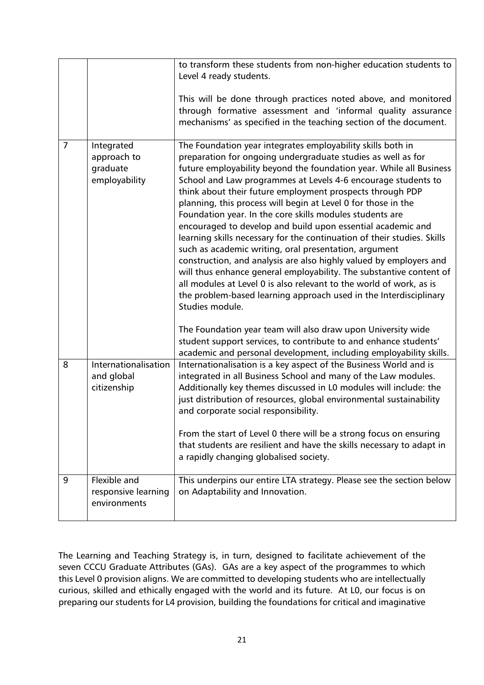|                |                                                        | to transform these students from non-higher education students to<br>Level 4 ready students.<br>This will be done through practices noted above, and monitored<br>through formative assessment and 'informal quality assurance<br>mechanisms' as specified in the teaching section of the document.                                                                                                                                                                                                                                                                                                                                                                                                                                                                                                                                                                                                                                                                                                                                                                                                                                                                                    |
|----------------|--------------------------------------------------------|----------------------------------------------------------------------------------------------------------------------------------------------------------------------------------------------------------------------------------------------------------------------------------------------------------------------------------------------------------------------------------------------------------------------------------------------------------------------------------------------------------------------------------------------------------------------------------------------------------------------------------------------------------------------------------------------------------------------------------------------------------------------------------------------------------------------------------------------------------------------------------------------------------------------------------------------------------------------------------------------------------------------------------------------------------------------------------------------------------------------------------------------------------------------------------------|
| $\overline{7}$ | Integrated<br>approach to<br>graduate<br>employability | The Foundation year integrates employability skills both in<br>preparation for ongoing undergraduate studies as well as for<br>future employability beyond the foundation year. While all Business<br>School and Law programmes at Levels 4-6 encourage students to<br>think about their future employment prospects through PDP<br>planning, this process will begin at Level 0 for those in the<br>Foundation year. In the core skills modules students are<br>encouraged to develop and build upon essential academic and<br>learning skills necessary for the continuation of their studies. Skills<br>such as academic writing, oral presentation, argument<br>construction, and analysis are also highly valued by employers and<br>will thus enhance general employability. The substantive content of<br>all modules at Level 0 is also relevant to the world of work, as is<br>the problem-based learning approach used in the Interdisciplinary<br>Studies module.<br>The Foundation year team will also draw upon University wide<br>student support services, to contribute to and enhance students'<br>academic and personal development, including employability skills. |
| 8              | Internationalisation<br>and global<br>citizenship      | Internationalisation is a key aspect of the Business World and is<br>integrated in all Business School and many of the Law modules.<br>Additionally key themes discussed in L0 modules will include: the<br>just distribution of resources, global environmental sustainability<br>and corporate social responsibility.<br>From the start of Level 0 there will be a strong focus on ensuring<br>that students are resilient and have the skills necessary to adapt in<br>a rapidly changing globalised society.                                                                                                                                                                                                                                                                                                                                                                                                                                                                                                                                                                                                                                                                       |
| 9              | Flexible and<br>responsive learning<br>environments    | This underpins our entire LTA strategy. Please see the section below<br>on Adaptability and Innovation.                                                                                                                                                                                                                                                                                                                                                                                                                                                                                                                                                                                                                                                                                                                                                                                                                                                                                                                                                                                                                                                                                |

The Learning and Teaching Strategy is, in turn, designed to facilitate achievement of the seven CCCU Graduate Attributes (GAs). GAs are a key aspect of the programmes to which this Level 0 provision aligns. We are committed to developing students who are intellectually curious, skilled and ethically engaged with the world and its future. At L0, our focus is on preparing our students for L4 provision, building the foundations for critical and imaginative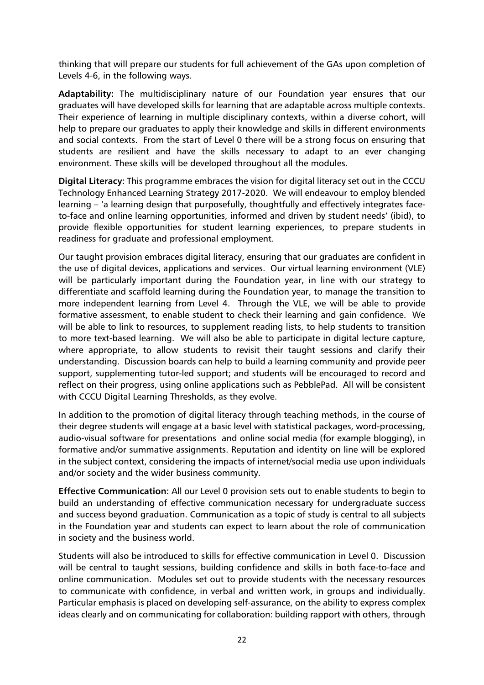thinking that will prepare our students for full achievement of the GAs upon completion of Levels 4-6, in the following ways.

**Adaptability:** The multidisciplinary nature of our Foundation year ensures that our graduates will have developed skills for learning that are adaptable across multiple contexts. Their experience of learning in multiple disciplinary contexts, within a diverse cohort, will help to prepare our graduates to apply their knowledge and skills in different environments and social contexts. From the start of Level 0 there will be a strong focus on ensuring that students are resilient and have the skills necessary to adapt to an ever changing environment. These skills will be developed throughout all the modules.

**Digital Literacy:** This programme embraces the vision for digital literacy set out in the CCCU Technology Enhanced Learning Strategy 2017-2020. We will endeavour to employ blended learning – 'a learning design that purposefully, thoughtfully and effectively integrates faceto-face and online learning opportunities, informed and driven by student needs' (ibid), to provide flexible opportunities for student learning experiences, to prepare students in readiness for graduate and professional employment.

Our taught provision embraces digital literacy, ensuring that our graduates are confident in the use of digital devices, applications and services. Our virtual learning environment (VLE) will be particularly important during the Foundation year, in line with our strategy to differentiate and scaffold learning during the Foundation year, to manage the transition to more independent learning from Level 4. Through the VLE, we will be able to provide formative assessment, to enable student to check their learning and gain confidence. We will be able to link to resources, to supplement reading lists, to help students to transition to more text-based learning. We will also be able to participate in digital lecture capture, where appropriate, to allow students to revisit their taught sessions and clarify their understanding. Discussion boards can help to build a learning community and provide peer support, supplementing tutor-led support; and students will be encouraged to record and reflect on their progress, using online applications such as PebblePad. All will be consistent with CCCU Digital Learning Thresholds, as they evolve.

In addition to the promotion of digital literacy through teaching methods, in the course of their degree students will engage at a basic level with statistical packages, word-processing, audio-visual software for presentations and online social media (for example blogging), in formative and/or summative assignments. Reputation and identity on line will be explored in the subject context, considering the impacts of internet/social media use upon individuals and/or society and the wider business community.

**Effective Communication:** All our Level 0 provision sets out to enable students to begin to build an understanding of effective communication necessary for undergraduate success and success beyond graduation. Communication as a topic of study is central to all subjects in the Foundation year and students can expect to learn about the role of communication in society and the business world.

Students will also be introduced to skills for effective communication in Level 0. Discussion will be central to taught sessions, building confidence and skills in both face-to-face and online communication. Modules set out to provide students with the necessary resources to communicate with confidence, in verbal and written work, in groups and individually. Particular emphasis is placed on developing self-assurance, on the ability to express complex ideas clearly and on communicating for collaboration: building rapport with others, through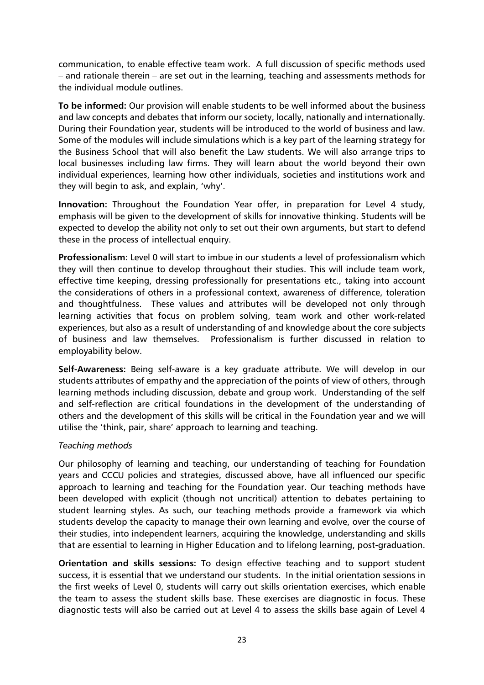communication, to enable effective team work. A full discussion of specific methods used – and rationale therein – are set out in the learning, teaching and assessments methods for the individual module outlines.

**To be informed:** Our provision will enable students to be well informed about the business and law concepts and debates that inform our society, locally, nationally and internationally. During their Foundation year, students will be introduced to the world of business and law. Some of the modules will include simulations which is a key part of the learning strategy for the Business School that will also benefit the Law students. We will also arrange trips to local businesses including law firms. They will learn about the world beyond their own individual experiences, learning how other individuals, societies and institutions work and they will begin to ask, and explain, 'why'.

**Innovation:** Throughout the Foundation Year offer, in preparation for Level 4 study, emphasis will be given to the development of skills for innovative thinking. Students will be expected to develop the ability not only to set out their own arguments, but start to defend these in the process of intellectual enquiry.

**Professionalism:** Level 0 will start to imbue in our students a level of professionalism which they will then continue to develop throughout their studies. This will include team work, effective time keeping, dressing professionally for presentations etc., taking into account the considerations of others in a professional context, awareness of difference, toleration and thoughtfulness. These values and attributes will be developed not only through learning activities that focus on problem solving, team work and other work-related experiences, but also as a result of understanding of and knowledge about the core subjects of business and law themselves. Professionalism is further discussed in relation to employability below.

**Self-Awareness:** Being self-aware is a key graduate attribute. We will develop in our students attributes of empathy and the appreciation of the points of view of others, through learning methods including discussion, debate and group work. Understanding of the self and self-reflection are critical foundations in the development of the understanding of others and the development of this skills will be critical in the Foundation year and we will utilise the 'think, pair, share' approach to learning and teaching.

## *Teaching methods*

Our philosophy of learning and teaching, our understanding of teaching for Foundation years and CCCU policies and strategies, discussed above, have all influenced our specific approach to learning and teaching for the Foundation year. Our teaching methods have been developed with explicit (though not uncritical) attention to debates pertaining to student learning styles. As such, our teaching methods provide a framework via which students develop the capacity to manage their own learning and evolve, over the course of their studies, into independent learners, acquiring the knowledge, understanding and skills that are essential to learning in Higher Education and to lifelong learning, post-graduation.

**Orientation and skills sessions:** To design effective teaching and to support student success, it is essential that we understand our students. In the initial orientation sessions in the first weeks of Level 0, students will carry out skills orientation exercises, which enable the team to assess the student skills base. These exercises are diagnostic in focus. These diagnostic tests will also be carried out at Level 4 to assess the skills base again of Level 4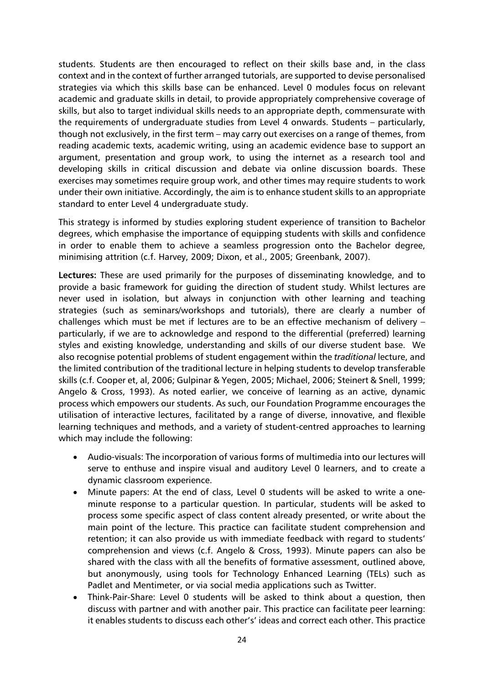students. Students are then encouraged to reflect on their skills base and, in the class context and in the context of further arranged tutorials, are supported to devise personalised strategies via which this skills base can be enhanced. Level 0 modules focus on relevant academic and graduate skills in detail, to provide appropriately comprehensive coverage of skills, but also to target individual skills needs to an appropriate depth, commensurate with the requirements of undergraduate studies from Level 4 onwards. Students – particularly, though not exclusively, in the first term – may carry out exercises on a range of themes, from reading academic texts, academic writing, using an academic evidence base to support an argument, presentation and group work, to using the internet as a research tool and developing skills in critical discussion and debate via online discussion boards. These exercises may sometimes require group work, and other times may require students to work under their own initiative. Accordingly, the aim is to enhance student skills to an appropriate standard to enter Level 4 undergraduate study.

This strategy is informed by studies exploring student experience of transition to Bachelor degrees, which emphasise the importance of equipping students with skills and confidence in order to enable them to achieve a seamless progression onto the Bachelor degree, minimising attrition (c.f. Harvey, 2009; Dixon, et al., 2005; Greenbank, 2007).

**Lectures:** These are used primarily for the purposes of disseminating knowledge, and to provide a basic framework for guiding the direction of student study. Whilst lectures are never used in isolation, but always in conjunction with other learning and teaching strategies (such as seminars/workshops and tutorials), there are clearly a number of challenges which must be met if lectures are to be an effective mechanism of delivery – particularly, if we are to acknowledge and respond to the differential (preferred) learning styles and existing knowledge, understanding and skills of our diverse student base. We also recognise potential problems of student engagement within the *traditional* lecture, and the limited contribution of the traditional lecture in helping students to develop transferable skills (c.f. Cooper et, al, 2006; Gulpinar & Yegen, 2005; Michael, 2006; Steinert & Snell, 1999; Angelo & Cross, 1993). As noted earlier, we conceive of learning as an active, dynamic process which empowers our students. As such, our Foundation Programme encourages the utilisation of interactive lectures, facilitated by a range of diverse, innovative, and flexible learning techniques and methods, and a variety of student-centred approaches to learning which may include the following:

- Audio-visuals: The incorporation of various forms of multimedia into our lectures will serve to enthuse and inspire visual and auditory Level 0 learners, and to create a dynamic classroom experience.
- Minute papers: At the end of class, Level 0 students will be asked to write a oneminute response to a particular question. In particular, students will be asked to process some specific aspect of class content already presented, or write about the main point of the lecture. This practice can facilitate student comprehension and retention; it can also provide us with immediate feedback with regard to students' comprehension and views (c.f. Angelo & Cross, 1993). Minute papers can also be shared with the class with all the benefits of formative assessment, outlined above, but anonymously, using tools for Technology Enhanced Learning (TELs) such as Padlet and Mentimeter, or via social media applications such as Twitter.
- Think-Pair-Share: Level 0 students will be asked to think about a question, then discuss with partner and with another pair. This practice can facilitate peer learning: it enables students to discuss each other's' ideas and correct each other. This practice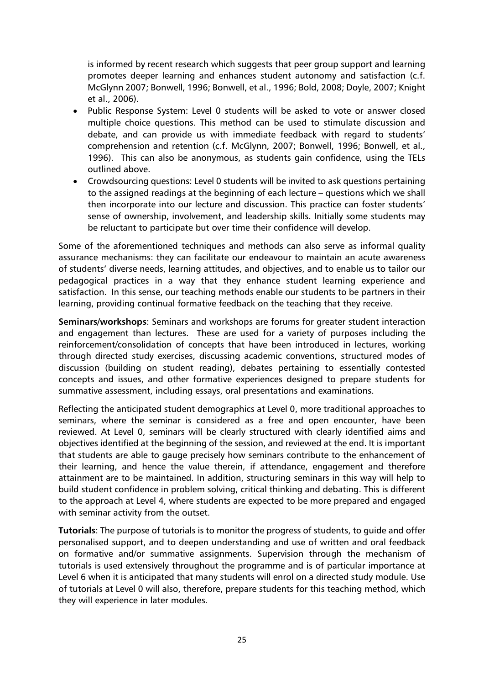is informed by recent research which suggests that peer group support and learning promotes deeper learning and enhances student autonomy and satisfaction (c.f. McGlynn 2007; Bonwell, 1996; Bonwell, et al., 1996; Bold, 2008; Doyle, 2007; Knight et al., 2006).

- Public Response System: Level 0 students will be asked to vote or answer closed multiple choice questions. This method can be used to stimulate discussion and debate, and can provide us with immediate feedback with regard to students' comprehension and retention (c.f. McGlynn, 2007; Bonwell, 1996; Bonwell, et al., 1996). This can also be anonymous, as students gain confidence, using the TELs outlined above.
- Crowdsourcing questions: Level 0 students will be invited to ask questions pertaining to the assigned readings at the beginning of each lecture – questions which we shall then incorporate into our lecture and discussion. This practice can foster students' sense of ownership, involvement, and leadership skills. Initially some students may be reluctant to participate but over time their confidence will develop.

Some of the aforementioned techniques and methods can also serve as informal quality assurance mechanisms: they can facilitate our endeavour to maintain an acute awareness of students' diverse needs, learning attitudes, and objectives, and to enable us to tailor our pedagogical practices in a way that they enhance student learning experience and satisfaction. In this sense, our teaching methods enable our students to be partners in their learning, providing continual formative feedback on the teaching that they receive.

**Seminars/workshops**: Seminars and workshops are forums for greater student interaction and engagement than lectures. These are used for a variety of purposes including the reinforcement/consolidation of concepts that have been introduced in lectures, working through directed study exercises, discussing academic conventions, structured modes of discussion (building on student reading), debates pertaining to essentially contested concepts and issues, and other formative experiences designed to prepare students for summative assessment, including essays, oral presentations and examinations.

Reflecting the anticipated student demographics at Level 0, more traditional approaches to seminars, where the seminar is considered as a free and open encounter, have been reviewed. At Level 0, seminars will be clearly structured with clearly identified aims and objectives identified at the beginning of the session, and reviewed at the end. It is important that students are able to gauge precisely how seminars contribute to the enhancement of their learning, and hence the value therein, if attendance, engagement and therefore attainment are to be maintained. In addition, structuring seminars in this way will help to build student confidence in problem solving, critical thinking and debating. This is different to the approach at Level 4, where students are expected to be more prepared and engaged with seminar activity from the outset.

**Tutorials**: The purpose of tutorials is to monitor the progress of students, to guide and offer personalised support, and to deepen understanding and use of written and oral feedback on formative and/or summative assignments. Supervision through the mechanism of tutorials is used extensively throughout the programme and is of particular importance at Level 6 when it is anticipated that many students will enrol on a directed study module. Use of tutorials at Level 0 will also, therefore, prepare students for this teaching method, which they will experience in later modules.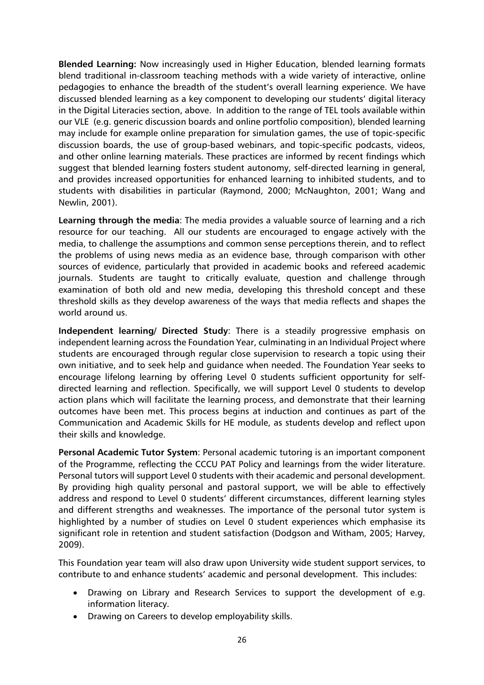**Blended Learning:** Now increasingly used in Higher Education, blended learning formats blend traditional in-classroom teaching methods with a wide variety of interactive, online pedagogies to enhance the breadth of the student's overall learning experience. We have discussed blended learning as a key component to developing our students' digital literacy in the Digital Literacies section, above. In addition to the range of TEL tools available within our VLE (e.g. generic discussion boards and online portfolio composition), blended learning may include for example online preparation for simulation games, the use of topic-specific discussion boards, the use of group-based webinars, and topic-specific podcasts, videos, and other online learning materials. These practices are informed by recent findings which suggest that blended learning fosters student autonomy, self-directed learning in general, and provides increased opportunities for enhanced learning to inhibited students, and to students with disabilities in particular (Raymond, 2000; McNaughton, 2001; Wang and Newlin, 2001).

**Learning through the media**: The media provides a valuable source of learning and a rich resource for our teaching. All our students are encouraged to engage actively with the media, to challenge the assumptions and common sense perceptions therein, and to reflect the problems of using news media as an evidence base, through comparison with other sources of evidence, particularly that provided in academic books and refereed academic journals. Students are taught to critically evaluate, question and challenge through examination of both old and new media, developing this threshold concept and these threshold skills as they develop awareness of the ways that media reflects and shapes the world around us.

**Independent learning/ Directed Study**: There is a steadily progressive emphasis on independent learning across the Foundation Year, culminating in an Individual Project where students are encouraged through regular close supervision to research a topic using their own initiative, and to seek help and guidance when needed. The Foundation Year seeks to encourage lifelong learning by offering Level 0 students sufficient opportunity for selfdirected learning and reflection. Specifically, we will support Level 0 students to develop action plans which will facilitate the learning process, and demonstrate that their learning outcomes have been met. This process begins at induction and continues as part of the Communication and Academic Skills for HE module, as students develop and reflect upon their skills and knowledge.

**Personal Academic Tutor System**: Personal academic tutoring is an important component of the Programme, reflecting the CCCU PAT Policy and learnings from the wider literature. Personal tutors will support Level 0 students with their academic and personal development. By providing high quality personal and pastoral support, we will be able to effectively address and respond to Level 0 students' different circumstances, different learning styles and different strengths and weaknesses. The importance of the personal tutor system is highlighted by a number of studies on Level 0 student experiences which emphasise its significant role in retention and student satisfaction (Dodgson and Witham, 2005; Harvey, 2009).

This Foundation year team will also draw upon University wide student support services, to contribute to and enhance students' academic and personal development. This includes:

- Drawing on Library and Research Services to support the development of e.g. information literacy.
- Drawing on Careers to develop employability skills.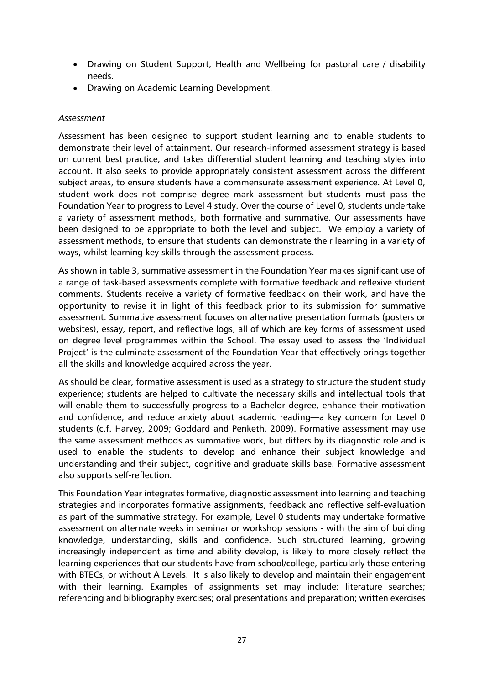- Drawing on Student Support, Health and Wellbeing for pastoral care / disability needs.
- Drawing on Academic Learning Development.

## *Assessment*

Assessment has been designed to support student learning and to enable students to demonstrate their level of attainment. Our research-informed assessment strategy is based on current best practice, and takes differential student learning and teaching styles into account. It also seeks to provide appropriately consistent assessment across the different subject areas, to ensure students have a commensurate assessment experience. At Level 0, student work does not comprise degree mark assessment but students must pass the Foundation Year to progress to Level 4 study. Over the course of Level 0, students undertake a variety of assessment methods, both formative and summative. Our assessments have been designed to be appropriate to both the level and subject. We employ a variety of assessment methods, to ensure that students can demonstrate their learning in a variety of ways, whilst learning key skills through the assessment process.

As shown in table 3, summative assessment in the Foundation Year makes significant use of a range of task-based assessments complete with formative feedback and reflexive student comments. Students receive a variety of formative feedback on their work, and have the opportunity to revise it in light of this feedback prior to its submission for summative assessment. Summative assessment focuses on alternative presentation formats (posters or websites), essay, report, and reflective logs, all of which are key forms of assessment used on degree level programmes within the School. The essay used to assess the 'Individual Project' is the culminate assessment of the Foundation Year that effectively brings together all the skills and knowledge acquired across the year.

As should be clear, formative assessment is used as a strategy to structure the student study experience; students are helped to cultivate the necessary skills and intellectual tools that will enable them to successfully progress to a Bachelor degree, enhance their motivation and confidence, and reduce anxiety about academic reading—a key concern for Level 0 students (c.f. Harvey, 2009; Goddard and Penketh, 2009). Formative assessment may use the same assessment methods as summative work, but differs by its diagnostic role and is used to enable the students to develop and enhance their subject knowledge and understanding and their subject, cognitive and graduate skills base. Formative assessment also supports self-reflection.

This Foundation Year integrates formative, diagnostic assessment into learning and teaching strategies and incorporates formative assignments, feedback and reflective self-evaluation as part of the summative strategy. For example, Level 0 students may undertake formative assessment on alternate weeks in seminar or workshop sessions - with the aim of building knowledge, understanding, skills and confidence. Such structured learning, growing increasingly independent as time and ability develop, is likely to more closely reflect the learning experiences that our students have from school/college, particularly those entering with BTECs, or without A Levels. It is also likely to develop and maintain their engagement with their learning. Examples of assignments set may include: literature searches; referencing and bibliography exercises; oral presentations and preparation; written exercises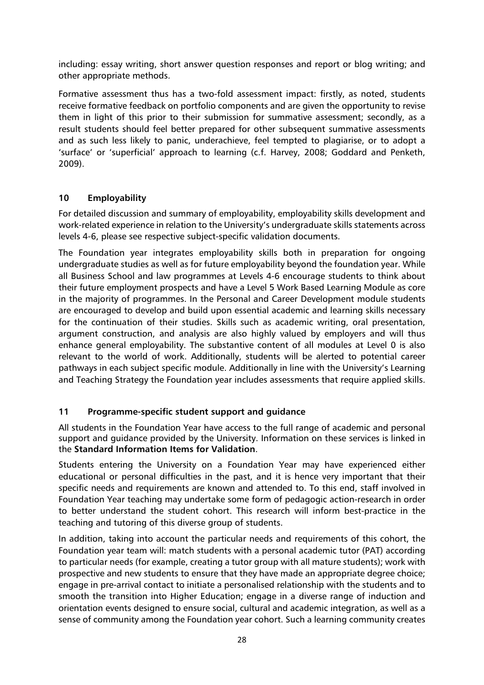including: essay writing, short answer question responses and report or blog writing; and other appropriate methods.

Formative assessment thus has a two-fold assessment impact: firstly, as noted, students receive formative feedback on portfolio components and are given the opportunity to revise them in light of this prior to their submission for summative assessment; secondly, as a result students should feel better prepared for other subsequent summative assessments and as such less likely to panic, underachieve, feel tempted to plagiarise, or to adopt a 'surface' or 'superficial' approach to learning (c.f. Harvey, 2008; Goddard and Penketh, 2009).

## **10 Employability**

For detailed discussion and summary of employability, employability skills development and work-related experience in relation to the University's undergraduate skills statements across levels 4-6, please see respective subject-specific validation documents.

The Foundation year integrates employability skills both in preparation for ongoing undergraduate studies as well as for future employability beyond the foundation year. While all Business School and law programmes at Levels 4-6 encourage students to think about their future employment prospects and have a Level 5 Work Based Learning Module as core in the majority of programmes. In the Personal and Career Development module students are encouraged to develop and build upon essential academic and learning skills necessary for the continuation of their studies. Skills such as academic writing, oral presentation, argument construction, and analysis are also highly valued by employers and will thus enhance general employability. The substantive content of all modules at Level 0 is also relevant to the world of work. Additionally, students will be alerted to potential career pathways in each subject specific module. Additionally in line with the University's Learning and Teaching Strategy the Foundation year includes assessments that require applied skills.

## **11 Programme-specific student support and guidance**

All students in the Foundation Year have access to the full range of academic and personal support and guidance provided by the University. Information on these services is linked in the **Standard Information Items for Validation**.

Students entering the University on a Foundation Year may have experienced either educational or personal difficulties in the past, and it is hence very important that their specific needs and requirements are known and attended to. To this end, staff involved in Foundation Year teaching may undertake some form of pedagogic action-research in order to better understand the student cohort. This research will inform best-practice in the teaching and tutoring of this diverse group of students.

In addition, taking into account the particular needs and requirements of this cohort, the Foundation year team will: match students with a personal academic tutor (PAT) according to particular needs (for example, creating a tutor group with all mature students); work with prospective and new students to ensure that they have made an appropriate degree choice; engage in pre-arrival contact to initiate a personalised relationship with the students and to smooth the transition into Higher Education; engage in a diverse range of induction and orientation events designed to ensure social, cultural and academic integration, as well as a sense of community among the Foundation year cohort. Such a learning community creates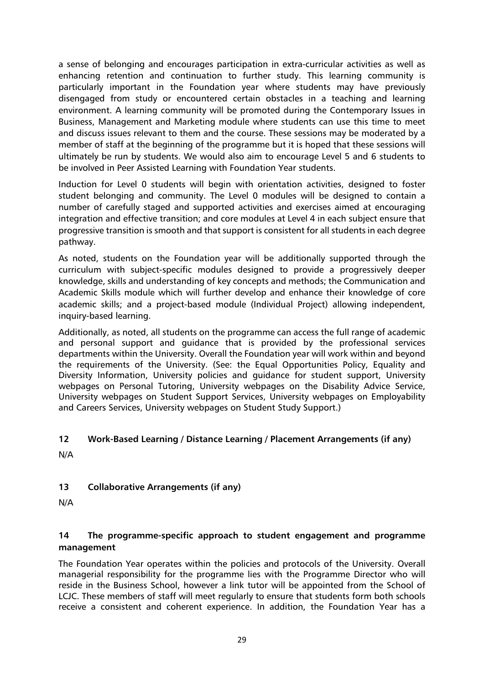a sense of belonging and encourages participation in extra-curricular activities as well as enhancing retention and continuation to further study. This learning community is particularly important in the Foundation year where students may have previously disengaged from study or encountered certain obstacles in a teaching and learning environment. A learning community will be promoted during the Contemporary Issues in Business, Management and Marketing module where students can use this time to meet and discuss issues relevant to them and the course. These sessions may be moderated by a member of staff at the beginning of the programme but it is hoped that these sessions will ultimately be run by students. We would also aim to encourage Level 5 and 6 students to be involved in Peer Assisted Learning with Foundation Year students.

Induction for Level 0 students will begin with orientation activities, designed to foster student belonging and community. The Level 0 modules will be designed to contain a number of carefully staged and supported activities and exercises aimed at encouraging integration and effective transition; and core modules at Level 4 in each subject ensure that progressive transition is smooth and that support is consistent for all students in each degree pathway.

As noted, students on the Foundation year will be additionally supported through the curriculum with subject-specific modules designed to provide a progressively deeper knowledge, skills and understanding of key concepts and methods; the Communication and Academic Skills module which will further develop and enhance their knowledge of core academic skills; and a project-based module (Individual Project) allowing independent, inquiry-based learning.

Additionally, as noted, all students on the programme can access the full range of academic and personal support and guidance that is provided by the professional services departments within the University. Overall the Foundation year will work within and beyond the requirements of the University. (See: the Equal Opportunities Policy, Equality and Diversity Information, University policies and guidance for student support, University webpages on Personal Tutoring, University webpages on the Disability Advice Service, University webpages on Student Support Services, University webpages on Employability and Careers Services, University webpages on Student Study Support.)

## **12 Work-Based Learning / Distance Learning / Placement Arrangements (if any)**

N/A

## **13 Collaborative Arrangements (if any)**

N/A

## **14 The programme-specific approach to student engagement and programme management**

The Foundation Year operates within the policies and protocols of the University. Overall managerial responsibility for the programme lies with the Programme Director who will reside in the Business School, however a link tutor will be appointed from the School of LCJC. These members of staff will meet regularly to ensure that students form both schools receive a consistent and coherent experience. In addition, the Foundation Year has a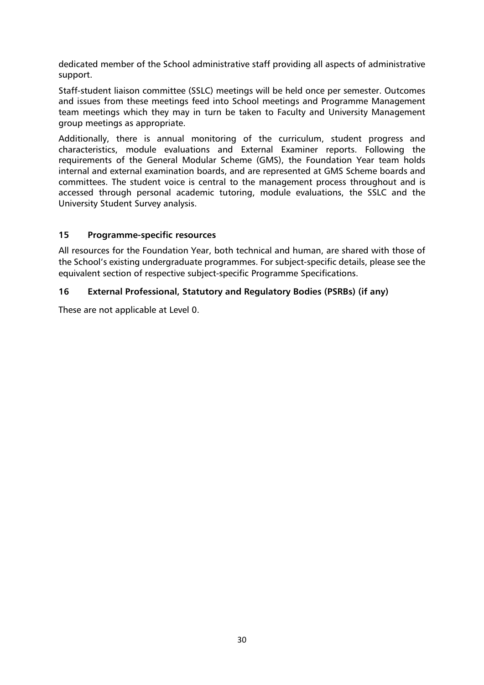dedicated member of the School administrative staff providing all aspects of administrative support.

Staff-student liaison committee (SSLC) meetings will be held once per semester. Outcomes and issues from these meetings feed into School meetings and Programme Management team meetings which they may in turn be taken to Faculty and University Management group meetings as appropriate.

Additionally, there is annual monitoring of the curriculum, student progress and characteristics, module evaluations and External Examiner reports. Following the requirements of the General Modular Scheme (GMS), the Foundation Year team holds internal and external examination boards, and are represented at GMS Scheme boards and committees. The student voice is central to the management process throughout and is accessed through personal academic tutoring, module evaluations, the SSLC and the University Student Survey analysis.

## **15 Programme-specific resources**

All resources for the Foundation Year, both technical and human, are shared with those of the School's existing undergraduate programmes. For subject-specific details, please see the equivalent section of respective subject-specific Programme Specifications.

## **16 External Professional, Statutory and Regulatory Bodies (PSRBs) (if any)**

These are not applicable at Level 0.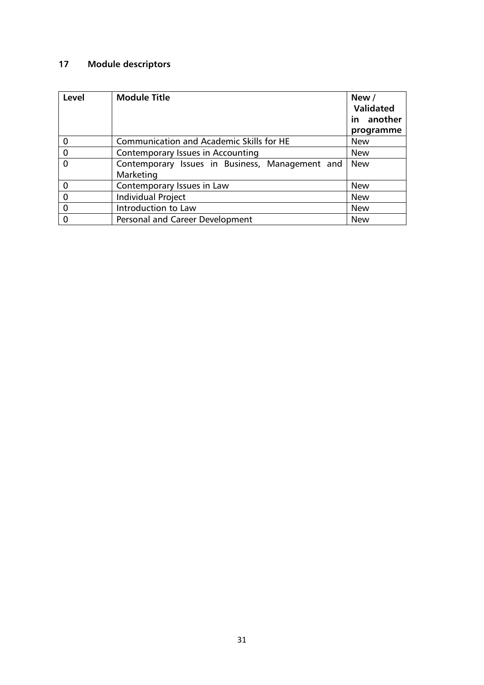# **17 Module descriptors**

| Level    | <b>Module Title</b>                                          | New /<br><b>Validated</b><br>in another<br>programme |
|----------|--------------------------------------------------------------|------------------------------------------------------|
|          | <b>Communication and Academic Skills for HE</b>              | <b>New</b>                                           |
| 0        | Contemporary Issues in Accounting                            | <b>New</b>                                           |
|          | Contemporary Issues in Business, Management and<br>Marketing | New                                                  |
| $\Omega$ | Contemporary Issues in Law                                   | <b>New</b>                                           |
| $\Omega$ | <b>Individual Project</b>                                    | <b>New</b>                                           |
| $\Omega$ | Introduction to Law                                          | <b>New</b>                                           |
|          | Personal and Career Development                              | <b>New</b>                                           |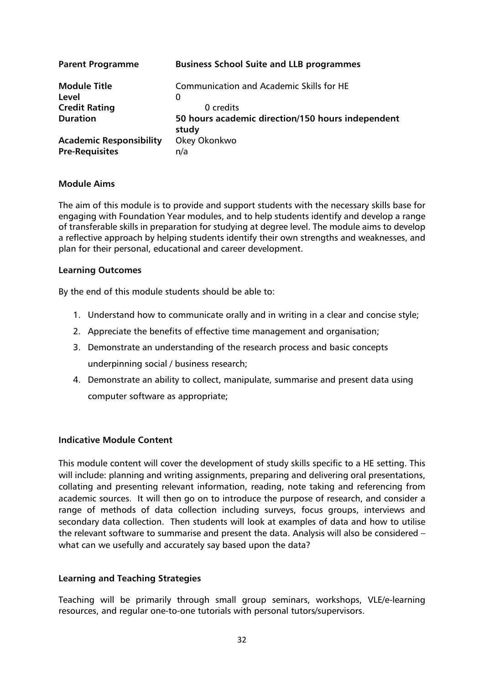| <b>Parent Programme</b>        | <b>Business School Suite and LLB programmes</b>            |
|--------------------------------|------------------------------------------------------------|
| <b>Module Title</b>            | <b>Communication and Academic Skills for HE</b>            |
| Level                          | 0                                                          |
| <b>Credit Rating</b>           | 0 credits                                                  |
| <b>Duration</b>                | 50 hours academic direction/150 hours independent<br>study |
| <b>Academic Responsibility</b> | Okey Okonkwo                                               |
| <b>Pre-Requisites</b>          | n/a                                                        |

#### **Module Aims**

The aim of this module is to provide and support students with the necessary skills base for engaging with Foundation Year modules, and to help students identify and develop a range of transferable skills in preparation for studying at degree level. The module aims to develop a reflective approach by helping students identify their own strengths and weaknesses, and plan for their personal, educational and career development.

#### **Learning Outcomes**

By the end of this module students should be able to:

- 1. Understand how to communicate orally and in writing in a clear and concise style;
- 2. Appreciate the benefits of effective time management and organisation;
- 3. Demonstrate an understanding of the research process and basic concepts underpinning social / business research;
- 4. Demonstrate an ability to collect, manipulate, summarise and present data using computer software as appropriate;

## **Indicative Module Content**

This module content will cover the development of study skills specific to a HE setting. This will include: planning and writing assignments, preparing and delivering oral presentations, collating and presenting relevant information, reading, note taking and referencing from academic sources. It will then go on to introduce the purpose of research, and consider a range of methods of data collection including surveys, focus groups, interviews and secondary data collection. Then students will look at examples of data and how to utilise the relevant software to summarise and present the data. Analysis will also be considered – what can we usefully and accurately say based upon the data?

## **Learning and Teaching Strategies**

Teaching will be primarily through small group seminars, workshops, VLE/e-learning resources, and regular one-to-one tutorials with personal tutors/supervisors.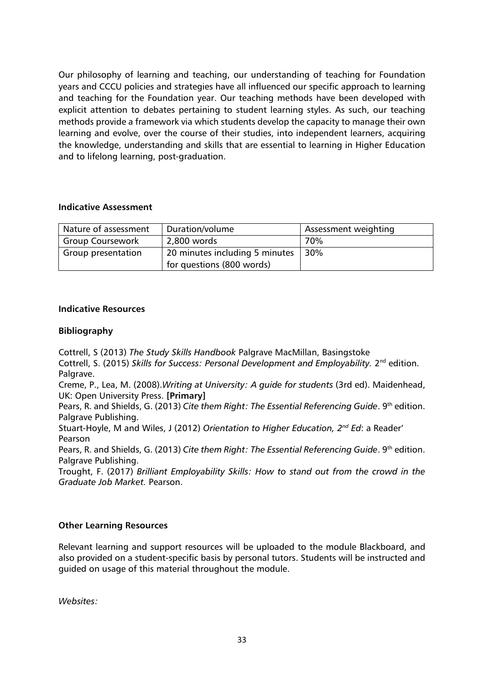Our philosophy of learning and teaching, our understanding of teaching for Foundation years and CCCU policies and strategies have all influenced our specific approach to learning and teaching for the Foundation year. Our teaching methods have been developed with explicit attention to debates pertaining to student learning styles. As such, our teaching methods provide a framework via which students develop the capacity to manage their own learning and evolve, over the course of their studies, into independent learners, acquiring the knowledge, understanding and skills that are essential to learning in Higher Education and to lifelong learning, post-graduation.

## **Indicative Assessment**

| Nature of assessment    | Duration/volume                | Assessment weighting |
|-------------------------|--------------------------------|----------------------|
| <b>Group Coursework</b> | 2,800 words                    | 70%                  |
| Group presentation      | 20 minutes including 5 minutes | $-30%$               |
|                         | for questions (800 words)      |                      |

## **Indicative Resources**

## **Bibliography**

Cottrell, S (2013) *The Study Skills Handbook* Palgrave MacMillan, Basingstoke Cottrell, S. (2015) *Skills for Success: Personal Development and Employability.* 2<sup>nd</sup> edition.

Palgrave.

Creme, P., Lea, M. (2008).*Writing at University: A guide for students* (3rd ed). Maidenhead, UK: Open University Press. **[Primary]**

Pears, R. and Shields, G. (2013) *Cite them Right: The Essential Referencing Guide*. 9<sup>th</sup> edition. Palgrave Publishing.

Stuart-Hoyle, M and Wiles, J (2012) *Orientation to Higher Education, 2nd Ed*: a Reader' Pearson

Pears, R. and Shields, G. (2013) *Cite them Right: The Essential Referencing Guide*. 9th edition. Palgrave Publishing.

Trought, F. (2017) *Brilliant Employability Skills: How to stand out from the crowd in the Graduate Job Market.* Pearson.

## **Other Learning Resources**

Relevant learning and support resources will be uploaded to the module Blackboard, and also provided on a student-specific basis by personal tutors. Students will be instructed and guided on usage of this material throughout the module.

*Websites:*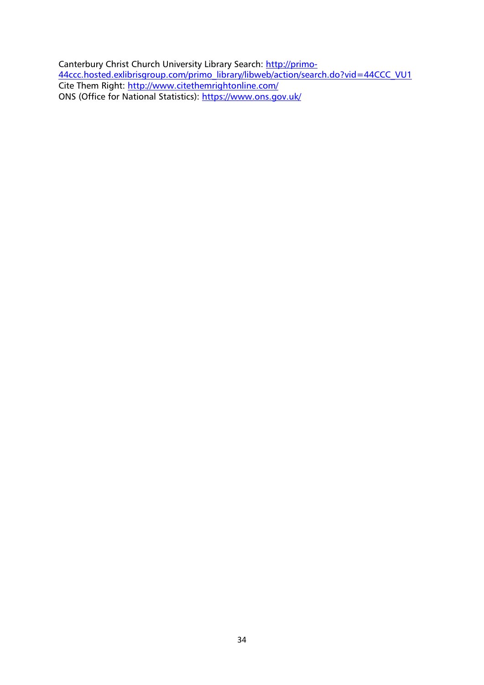Canterbury Christ Church University Library Search: [http://primo-](http://primo-44ccc.hosted.exlibrisgroup.com/primo_library/libweb/action/search.do?vid=44CCC_VU1)[44ccc.hosted.exlibrisgroup.com/primo\\_library/libweb/action/search.do?vid=44CCC\\_VU1](http://primo-44ccc.hosted.exlibrisgroup.com/primo_library/libweb/action/search.do?vid=44CCC_VU1) Cite Them Right:<http://www.citethemrightonline.com/> ONS (Office for National Statistics):<https://www.ons.gov.uk/>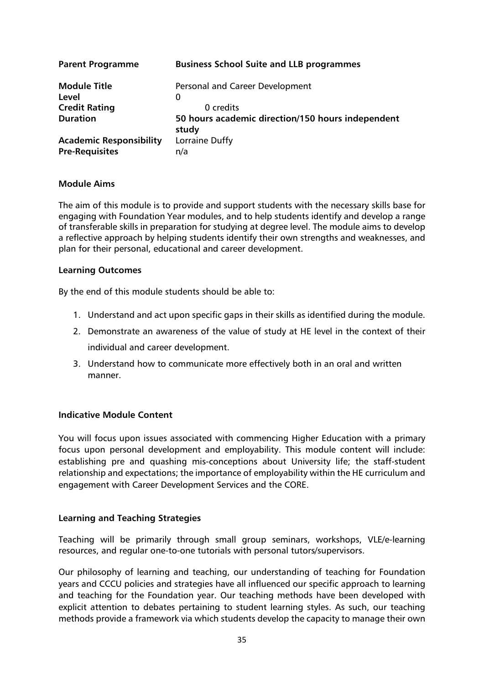| <b>Parent Programme</b>        | <b>Business School Suite and LLB programmes</b>            |  |
|--------------------------------|------------------------------------------------------------|--|
| <b>Module Title</b>            | Personal and Career Development                            |  |
| Level                          | 0                                                          |  |
| <b>Credit Rating</b>           | 0 credits                                                  |  |
| <b>Duration</b>                | 50 hours academic direction/150 hours independent<br>study |  |
| <b>Academic Responsibility</b> | Lorraine Duffy                                             |  |
| <b>Pre-Requisites</b>          | n/a                                                        |  |

#### **Module Aims**

The aim of this module is to provide and support students with the necessary skills base for engaging with Foundation Year modules, and to help students identify and develop a range of transferable skills in preparation for studying at degree level. The module aims to develop a reflective approach by helping students identify their own strengths and weaknesses, and plan for their personal, educational and career development.

#### **Learning Outcomes**

By the end of this module students should be able to:

- 1. Understand and act upon specific gaps in their skills as identified during the module.
- 2. Demonstrate an awareness of the value of study at HE level in the context of their individual and career development.
- 3. Understand how to communicate more effectively both in an oral and written manner.

## **Indicative Module Content**

You will focus upon issues associated with commencing Higher Education with a primary focus upon personal development and employability. This module content will include: establishing pre and quashing mis-conceptions about University life; the staff-student relationship and expectations; the importance of employability within the HE curriculum and engagement with Career Development Services and the CORE.

#### **Learning and Teaching Strategies**

Teaching will be primarily through small group seminars, workshops, VLE/e-learning resources, and regular one-to-one tutorials with personal tutors/supervisors.

Our philosophy of learning and teaching, our understanding of teaching for Foundation years and CCCU policies and strategies have all influenced our specific approach to learning and teaching for the Foundation year. Our teaching methods have been developed with explicit attention to debates pertaining to student learning styles. As such, our teaching methods provide a framework via which students develop the capacity to manage their own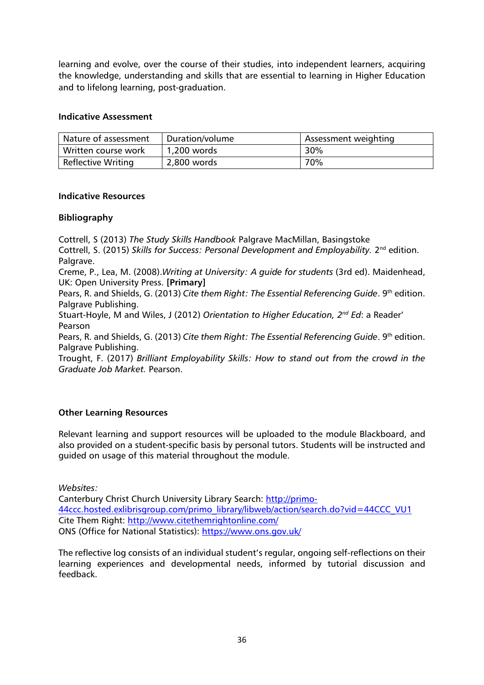learning and evolve, over the course of their studies, into independent learners, acquiring the knowledge, understanding and skills that are essential to learning in Higher Education and to lifelong learning, post-graduation.

## **Indicative Assessment**

| Nature of assessment      | Duration/volume | Assessment weighting |
|---------------------------|-----------------|----------------------|
| Written course work       | 1,200 words     | 30%                  |
| <b>Reflective Writing</b> | 2,800 words     | 70%                  |

## **Indicative Resources**

## **Bibliography**

Cottrell, S (2013) *The Study Skills Handbook* Palgrave MacMillan, Basingstoke Cottrell, S. (2015) *Skills for Success: Personal Development and Employability.* 2<sup>nd</sup> edition. Palgrave.

Creme, P., Lea, M. (2008).*Writing at University: A guide for students* (3rd ed). Maidenhead, UK: Open University Press. **[Primary]**

Pears, R. and Shields, G. (2013) *Cite them Right: The Essential Referencing Guide*. 9<sup>th</sup> edition. Palgrave Publishing.

Stuart-Hoyle, M and Wiles, J (2012) *Orientation to Higher Education, 2nd Ed*: a Reader' Pearson

Pears, R. and Shields, G. (2013) *Cite them Right: The Essential Referencing Guide*. 9th edition. Palgrave Publishing.

Trought, F. (2017) *Brilliant Employability Skills: How to stand out from the crowd in the Graduate Job Market.* Pearson.

## **Other Learning Resources**

Relevant learning and support resources will be uploaded to the module Blackboard, and also provided on a student-specific basis by personal tutors. Students will be instructed and guided on usage of this material throughout the module.

*Websites:*

Canterbury Christ Church University Library Search: [http://primo-](http://primo-44ccc.hosted.exlibrisgroup.com/primo_library/libweb/action/search.do?vid=44CCC_VU1)[44ccc.hosted.exlibrisgroup.com/primo\\_library/libweb/action/search.do?vid=44CCC\\_VU1](http://primo-44ccc.hosted.exlibrisgroup.com/primo_library/libweb/action/search.do?vid=44CCC_VU1) Cite Them Right:<http://www.citethemrightonline.com/> ONS (Office for National Statistics):<https://www.ons.gov.uk/>

The reflective log consists of an individual student's regular, ongoing self-reflections on their learning experiences and developmental needs, informed by tutorial discussion and feedback.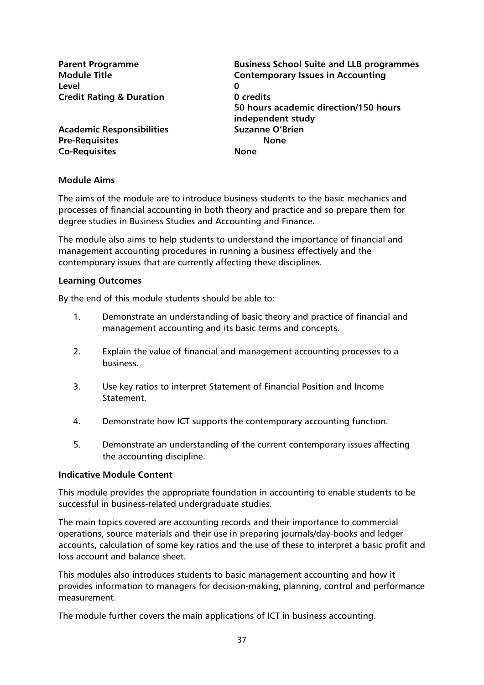**Level 0 Credit Rating & Duration 0 credits**

**Parent Programme Business School Suite and LLB programmes Module Title Contemporary Issues in Accounting 50 hours academic direction/150 hours independent study Academic Responsibilities Suzanne O'Brien**

**Pre-Requisites None Co-Requisites None**

## **Module Aims**

The aims of the module are to introduce business students to the basic mechanics and processes of financial accounting in both theory and practice and so prepare them for degree studies in Business Studies and Accounting and Finance.

The module also aims to help students to understand the importance of financial and management accounting procedures in running a business effectively and the contemporary issues that are currently affecting these disciplines.

## **Learning Outcomes**

By the end of this module students should be able to:

- 1. Demonstrate an understanding of basic theory and practice of financial and management accounting and its basic terms and concepts.
- 2. Explain the value of financial and management accounting processes to a business.
- 3. Use key ratios to interpret Statement of Financial Position and Income Statement.
- 4. Demonstrate how ICT supports the contemporary accounting function.
- 5. Demonstrate an understanding of the current contemporary issues affecting the accounting discipline.

## **Indicative Module Content**

This module provides the appropriate foundation in accounting to enable students to be successful in business-related undergraduate studies.

The main topics covered are accounting records and their importance to commercial operations, source materials and their use in preparing journals/day-books and ledger accounts, calculation of some key ratios and the use of these to interpret a basic profit and loss account and balance sheet.

This modules also introduces students to basic management accounting and how it provides information to managers for decision-making, planning, control and performance measurement.

The module further covers the main applications of ICT in business accounting.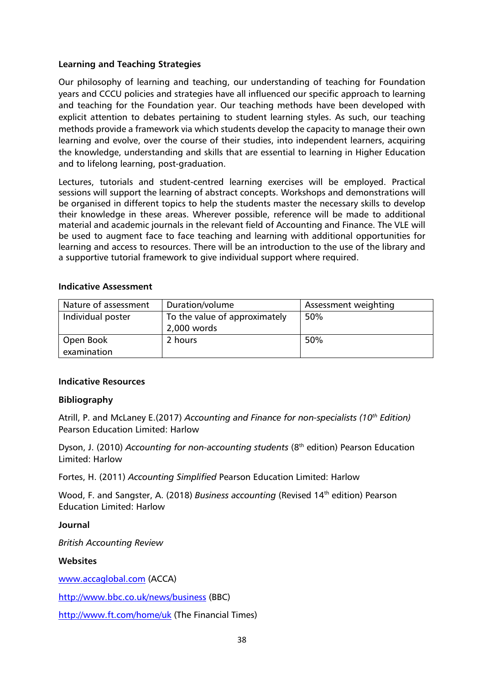## **Learning and Teaching Strategies**

Our philosophy of learning and teaching, our understanding of teaching for Foundation years and CCCU policies and strategies have all influenced our specific approach to learning and teaching for the Foundation year. Our teaching methods have been developed with explicit attention to debates pertaining to student learning styles. As such, our teaching methods provide a framework via which students develop the capacity to manage their own learning and evolve, over the course of their studies, into independent learners, acquiring the knowledge, understanding and skills that are essential to learning in Higher Education and to lifelong learning, post-graduation.

Lectures, tutorials and student-centred learning exercises will be employed. Practical sessions will support the learning of abstract concepts. Workshops and demonstrations will be organised in different topics to help the students master the necessary skills to develop their knowledge in these areas. Wherever possible, reference will be made to additional material and academic journals in the relevant field of Accounting and Finance. The VLE will be used to augment face to face teaching and learning with additional opportunities for learning and access to resources. There will be an introduction to the use of the library and a supportive tutorial framework to give individual support where required.

## **Indicative Assessment**

| Nature of assessment | Duration/volume               | Assessment weighting |
|----------------------|-------------------------------|----------------------|
| Individual poster    | To the value of approximately | 50%                  |
|                      | 2,000 words                   |                      |
| Open Book            | 2 hours                       | 50%                  |
| examination          |                               |                      |

## **Indicative Resources**

## **Bibliography**

Atrill, P. and McLaney E.(2017) *Accounting and Finance for non-specialists (10th Edition)*  Pearson Education Limited: Harlow

Dyson, J. (2010) *Accounting for non-accounting students* (8<sup>th</sup> edition) Pearson Education Limited: Harlow

Fortes, H. (2011) *Accounting Simplified* Pearson Education Limited: Harlow

Wood, F. and Sangster, A. (2018) *Business accounting* (Revised 14th edition) Pearson Education Limited: Harlow

**Journal**

*British Accounting Review*

**Websites**

[www.accaglobal.com](http://www.accaglobal.com/) (ACCA)

<http://www.bbc.co.uk/news/business> (BBC)

<http://www.ft.com/home/uk> (The Financial Times)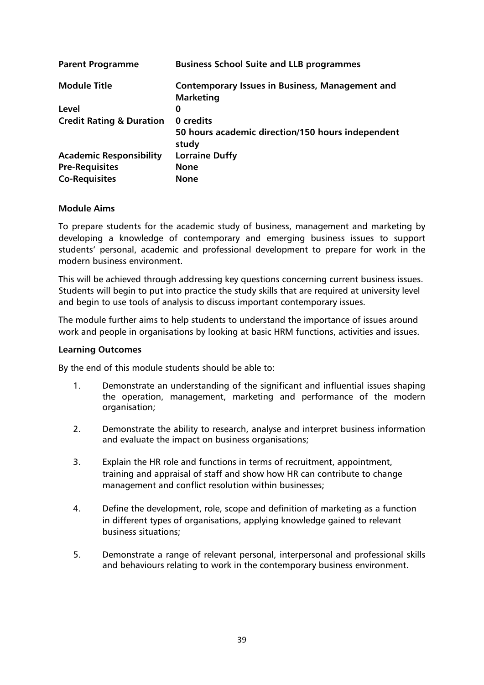| <b>Parent Programme</b>             | <b>Business School Suite and LLB programmes</b>                     |
|-------------------------------------|---------------------------------------------------------------------|
| <b>Module Title</b>                 | Contemporary Issues in Business, Management and<br><b>Marketing</b> |
| Level                               | 0                                                                   |
| <b>Credit Rating &amp; Duration</b> | 0 credits                                                           |
|                                     | 50 hours academic direction/150 hours independent<br>study          |
| <b>Academic Responsibility</b>      | <b>Lorraine Duffy</b>                                               |
| <b>Pre-Requisites</b>               | <b>None</b>                                                         |
| <b>Co-Requisites</b>                | <b>None</b>                                                         |

#### **Module Aims**

To prepare students for the academic study of business, management and marketing by developing a knowledge of contemporary and emerging business issues to support students' personal, academic and professional development to prepare for work in the modern business environment.

This will be achieved through addressing key questions concerning current business issues. Students will begin to put into practice the study skills that are required at university level and begin to use tools of analysis to discuss important contemporary issues.

The module further aims to help students to understand the importance of issues around work and people in organisations by looking at basic HRM functions, activities and issues.

#### **Learning Outcomes**

By the end of this module students should be able to:

- 1. Demonstrate an understanding of the significant and influential issues shaping the operation, management, marketing and performance of the modern organisation;
- 2. Demonstrate the ability to research, analyse and interpret business information and evaluate the impact on business organisations;
- 3. Explain the HR role and functions in terms of recruitment, appointment, training and appraisal of staff and show how HR can contribute to change management and conflict resolution within businesses;
- 4. Define the development, role, scope and definition of marketing as a function in different types of organisations, applying knowledge gained to relevant business situations;
- 5. Demonstrate a range of relevant personal, interpersonal and professional skills and behaviours relating to work in the contemporary business environment.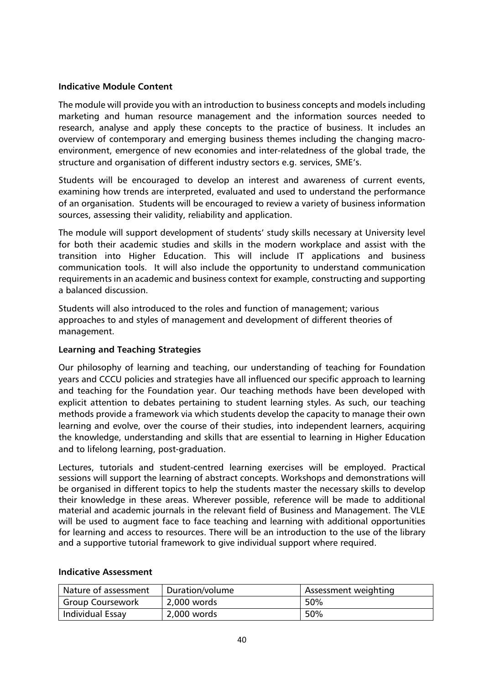## **Indicative Module Content**

The module will provide you with an introduction to business concepts and models including marketing and human resource management and the information sources needed to research, analyse and apply these concepts to the practice of business. It includes an overview of contemporary and emerging business themes including the changing macroenvironment, emergence of new economies and inter-relatedness of the global trade, the structure and organisation of different industry sectors e.g. services, SME's.

Students will be encouraged to develop an interest and awareness of current events, examining how trends are interpreted, evaluated and used to understand the performance of an organisation. Students will be encouraged to review a variety of business information sources, assessing their validity, reliability and application.

The module will support development of students' study skills necessary at University level for both their academic studies and skills in the modern workplace and assist with the transition into Higher Education. This will include IT applications and business communication tools. It will also include the opportunity to understand communication requirements in an academic and business context for example, constructing and supporting a balanced discussion.

Students will also introduced to the roles and function of management; various approaches to and styles of management and development of different theories of management.

## **Learning and Teaching Strategies**

Our philosophy of learning and teaching, our understanding of teaching for Foundation years and CCCU policies and strategies have all influenced our specific approach to learning and teaching for the Foundation year. Our teaching methods have been developed with explicit attention to debates pertaining to student learning styles. As such, our teaching methods provide a framework via which students develop the capacity to manage their own learning and evolve, over the course of their studies, into independent learners, acquiring the knowledge, understanding and skills that are essential to learning in Higher Education and to lifelong learning, post-graduation.

Lectures, tutorials and student-centred learning exercises will be employed. Practical sessions will support the learning of abstract concepts. Workshops and demonstrations will be organised in different topics to help the students master the necessary skills to develop their knowledge in these areas. Wherever possible, reference will be made to additional material and academic journals in the relevant field of Business and Management. The VLE will be used to augment face to face teaching and learning with additional opportunities for learning and access to resources. There will be an introduction to the use of the library and a supportive tutorial framework to give individual support where required.

| Nature of assessment    | Duration/volume | Assessment weighting |
|-------------------------|-----------------|----------------------|
| Group Coursework        | 2,000 words     | 50%                  |
| <b>Individual Essay</b> | 2,000 words     | 50%                  |

#### **Indicative Assessment**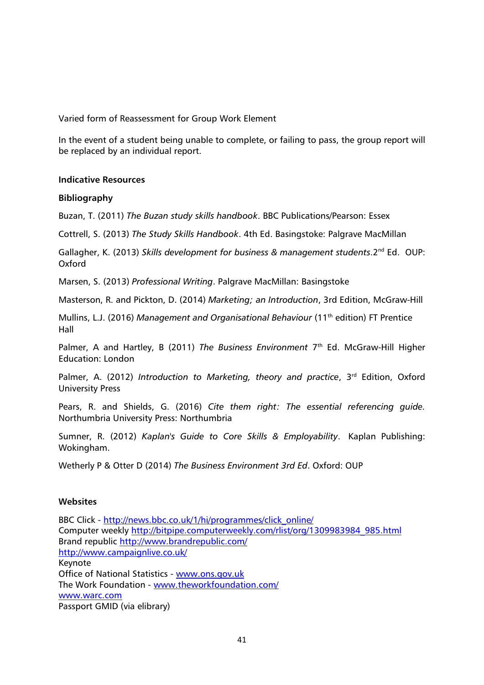Varied form of Reassessment for Group Work Element

In the event of a student being unable to complete, or failing to pass, the group report will be replaced by an individual report.

#### **Indicative Resources**

#### **Bibliography**

Buzan, T. (2011) *The Buzan study skills handbook*. BBC Publications/Pearson: Essex

Cottrell, S. (2013) *The Study Skills Handbook*. 4th Ed. Basingstoke: Palgrave MacMillan

Gallagher, K. (2013) *Skills development for business & management students*.2<sup>nd</sup> Ed. OUP: Oxford

Marsen, S. (2013) *Professional Writing*. Palgrave MacMillan: Basingstoke

Masterson, R. and Pickton, D. (2014) *Marketing; an Introduction*, 3rd Edition, McGraw-Hill

Mullins, L.J. (2016) *Management and Organisational Behaviour* (11th edition) FT Prentice Hall

Palmer, A and Hartley, B (2011) *The Business Environment* 7th Ed. McGraw-Hill Higher Education: London

Palmer, A. (2012) *Introduction to Marketing, theory and practice*, 3<sup>rd</sup> Edition, Oxford University Press

Pears, R. and Shields, G. (2016) *Cite them right: The essential referencing guide.*  Northumbria University Press: Northumbria

Sumner, R. (2012) *Kaplan's Guide to Core Skills & Employability*. Kaplan Publishing: Wokingham.

Wetherly P & Otter D (2014) *The Business Environment 3rd Ed*. Oxford: OUP

#### **Websites**

BBC Click - [http://news.bbc.co.uk/1/hi/programmes/click\\_online/](http://news.bbc.co.uk/1/hi/programmes/click_online/) Computer weekly [http://bitpipe.computerweekly.com/rlist/org/1309983984\\_985.html](http://bitpipe.computerweekly.com/rlist/org/1309983984_985.html) Brand republic<http://www.brandrepublic.com/> <http://www.campaignlive.co.uk/> Keynote Office of National Statistics - [www.ons.gov.uk](http://www.ons.gov.uk/) The Work Foundation - [www.theworkfoundation.com/](http://www.theworkfoundation.com/) [www.warc.com](http://www.warc.com/) Passport GMID (via elibrary)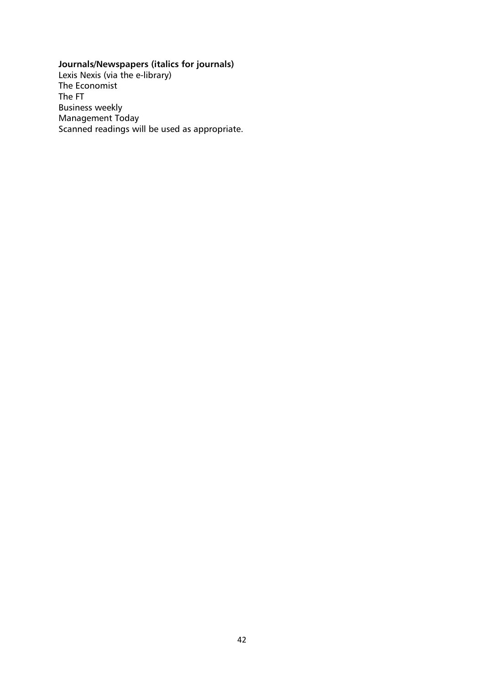# **Journals/Newspapers (italics for journals)**

Lexis Nexis (via the e-library) The Economist The FT Business weekly Management Today Scanned readings will be used as appropriate.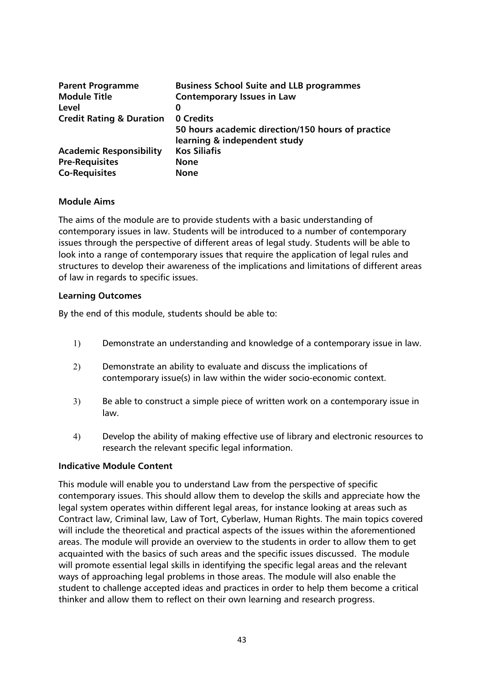| <b>Parent Programme</b><br><b>Module Title</b> | <b>Business School Suite and LLB programmes</b><br><b>Contemporary Issues in Law</b> |
|------------------------------------------------|--------------------------------------------------------------------------------------|
| Level                                          | 0                                                                                    |
| <b>Credit Rating &amp; Duration</b>            | 0 Credits                                                                            |
|                                                | 50 hours academic direction/150 hours of practice                                    |
|                                                | learning & independent study                                                         |
| <b>Academic Responsibility</b>                 | <b>Kos Siliafis</b>                                                                  |
| <b>Pre-Requisites</b>                          | <b>None</b>                                                                          |
| <b>Co-Requisites</b>                           | <b>None</b>                                                                          |

## **Module Aims**

The aims of the module are to provide students with a basic understanding of contemporary issues in law. Students will be introduced to a number of contemporary issues through the perspective of different areas of legal study. Students will be able to look into a range of contemporary issues that require the application of legal rules and structures to develop their awareness of the implications and limitations of different areas of law in regards to specific issues.

## **Learning Outcomes**

By the end of this module, students should be able to:

- 1) Demonstrate an understanding and knowledge of a contemporary issue in law.
- 2) Demonstrate an ability to evaluate and discuss the implications of contemporary issue(s) in law within the wider socio-economic context.
- 3) Be able to construct a simple piece of written work on a contemporary issue in law.
- 4) Develop the ability of making effective use of library and electronic resources to research the relevant specific legal information.

## **Indicative Module Content**

This module will enable you to understand Law from the perspective of specific contemporary issues. This should allow them to develop the skills and appreciate how the legal system operates within different legal areas, for instance looking at areas such as Contract law, Criminal law, Law of Tort, Cyberlaw, Human Rights. The main topics covered will include the theoretical and practical aspects of the issues within the aforementioned areas. The module will provide an overview to the students in order to allow them to get acquainted with the basics of such areas and the specific issues discussed. The module will promote essential legal skills in identifying the specific legal areas and the relevant ways of approaching legal problems in those areas. The module will also enable the student to challenge accepted ideas and practices in order to help them become a critical thinker and allow them to reflect on their own learning and research progress.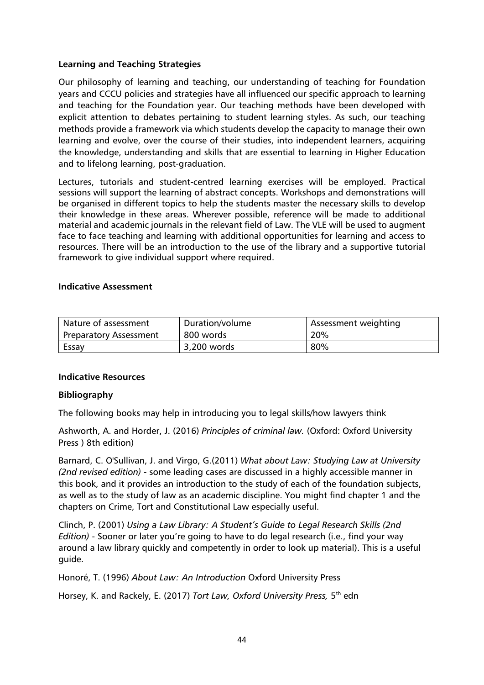## **Learning and Teaching Strategies**

Our philosophy of learning and teaching, our understanding of teaching for Foundation years and CCCU policies and strategies have all influenced our specific approach to learning and teaching for the Foundation year. Our teaching methods have been developed with explicit attention to debates pertaining to student learning styles. As such, our teaching methods provide a framework via which students develop the capacity to manage their own learning and evolve, over the course of their studies, into independent learners, acquiring the knowledge, understanding and skills that are essential to learning in Higher Education and to lifelong learning, post-graduation.

Lectures, tutorials and student-centred learning exercises will be employed. Practical sessions will support the learning of abstract concepts. Workshops and demonstrations will be organised in different topics to help the students master the necessary skills to develop their knowledge in these areas. Wherever possible, reference will be made to additional material and academic journals in the relevant field of Law. The VLE will be used to augment face to face teaching and learning with additional opportunities for learning and access to resources. There will be an introduction to the use of the library and a supportive tutorial framework to give individual support where required.

## **Indicative Assessment**

| Nature of assessment          | Duration/volume | Assessment weighting |
|-------------------------------|-----------------|----------------------|
| <b>Preparatory Assessment</b> | 800 words       | 20%                  |
| Essay                         | 3,200 words     | 80%                  |

## **Indicative Resources**

## **Bibliography**

The following books may help in introducing you to legal skills/how lawyers think

Ashworth, A. and Horder, J. (2016) *Principles of criminal law.* (Oxford: Oxford University Press ) 8th edition)

Barnard, C. O'Sullivan, J. and Virgo, G.(2011) *What about Law: Studying Law at University (2nd revised edition)* - some leading cases are discussed in a highly accessible manner in this book, and it provides an introduction to the study of each of the foundation subjects, as well as to the study of law as an academic discipline. You might find chapter 1 and the chapters on Crime, Tort and Constitutional Law especially useful.

Clinch, P. (2001) *Using a Law Library: A Student's Guide to Legal Research Skills (2nd Edition)* - Sooner or later you're going to have to do legal research (i.e., find your way around a law library quickly and competently in order to look up material). This is a useful guide.

Honoré, T. (1996) *About Law: An Introduction* Oxford University Press

Horsey, K. and Rackely, E. (2017) *Tort Law, Oxford University Press,* 5th edn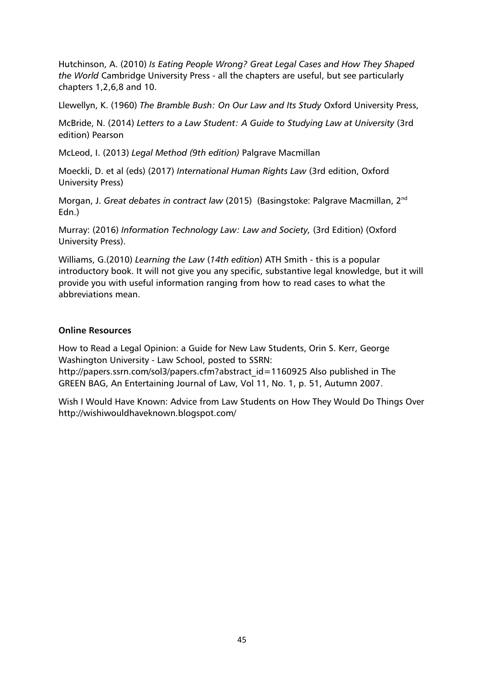Hutchinson, A. (2010) *Is Eating People Wrong? Great Legal Cases and How They Shaped the World* Cambridge University Press - all the chapters are useful, but see particularly chapters 1,2,6,8 and 10.

Llewellyn, K. (1960) *The Bramble Bush: On Our Law and Its Study* Oxford University Press,

McBride, N. (2014) *Letters to a Law Student: A Guide to Studying Law at University* (3rd edition) Pearson

McLeod, I. (2013) *Legal Method (9th edition)* Palgrave Macmillan

Moeckli, D. et al (eds) (2017) *International Human Rights Law* (3rd edition, Oxford University Press)

Morgan, J. *Great debates in contract law* (2015) (Basingstoke: Palgrave Macmillan, 2nd Edn.)

Murray: (2016) *Information Technology Law: Law and Society,* (3rd Edition) (Oxford University Press).

Williams, G.(2010) *Learning the Law* (*14th edition*) ATH Smith - this is a popular introductory book. It will not give you any specific, substantive legal knowledge, but it will provide you with useful information ranging from how to read cases to what the abbreviations mean.

## **Online Resources**

How to Read a Legal Opinion: a Guide for New Law Students, Orin S. Kerr, George Washington University - Law School, posted to SSRN:

http://papers.ssrn.com/sol3/papers.cfm?abstract\_id=1160925 Also published in The GREEN BAG, An Entertaining Journal of Law, Vol 11, No. 1, p. 51, Autumn 2007.

Wish I Would Have Known: Advice from Law Students on How They Would Do Things Over http://wishiwouldhaveknown.blogspot.com/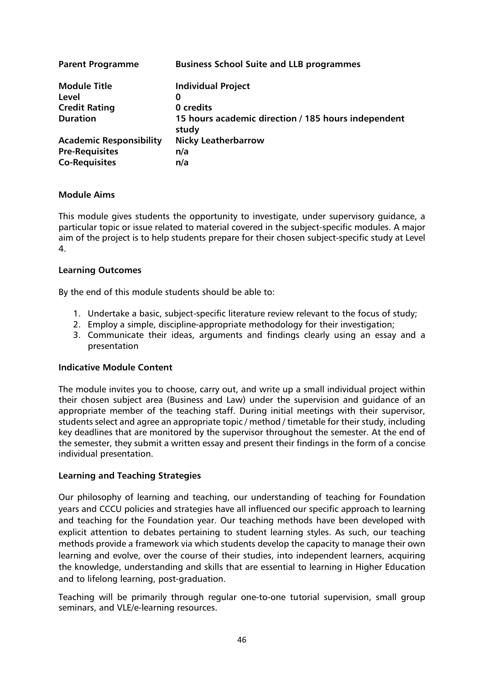| <b>Parent Programme</b>        | <b>Business School Suite and LLB programmes</b>              |
|--------------------------------|--------------------------------------------------------------|
| <b>Module Title</b>            | <b>Individual Project</b>                                    |
| Level                          | 0                                                            |
| <b>Credit Rating</b>           | 0 credits                                                    |
| <b>Duration</b>                | 15 hours academic direction / 185 hours independent<br>study |
| <b>Academic Responsibility</b> | <b>Nicky Leatherbarrow</b>                                   |
| <b>Pre-Requisites</b>          | n/a                                                          |
| <b>Co-Requisites</b>           | n/a                                                          |

## **Module Aims**

This module gives students the opportunity to investigate, under supervisory guidance, a particular topic or issue related to material covered in the subject-specific modules. A major aim of the project is to help students prepare for their chosen subject-specific study at Level 4.

## **Learning Outcomes**

By the end of this module students should be able to:

- 1. Undertake a basic, subject-specific literature review relevant to the focus of study;
- 2. Employ a simple, discipline-appropriate methodology for their investigation;
- 3. Communicate their ideas, arguments and findings clearly using an essay and a presentation

## **Indicative Module Content**

The module invites you to choose, carry out, and write up a small individual project within their chosen subject area (Business and Law) under the supervision and guidance of an appropriate member of the teaching staff. During initial meetings with their supervisor, students select and agree an appropriate topic / method / timetable for their study, including key deadlines that are monitored by the supervisor throughout the semester. At the end of the semester, they submit a written essay and present their findings in the form of a concise individual presentation.

## **Learning and Teaching Strategies**

Our philosophy of learning and teaching, our understanding of teaching for Foundation years and CCCU policies and strategies have all influenced our specific approach to learning and teaching for the Foundation year. Our teaching methods have been developed with explicit attention to debates pertaining to student learning styles. As such, our teaching methods provide a framework via which students develop the capacity to manage their own learning and evolve, over the course of their studies, into independent learners, acquiring the knowledge, understanding and skills that are essential to learning in Higher Education and to lifelong learning, post-graduation.

Teaching will be primarily through regular one-to-one tutorial supervision, small group seminars, and VLE/e-learning resources.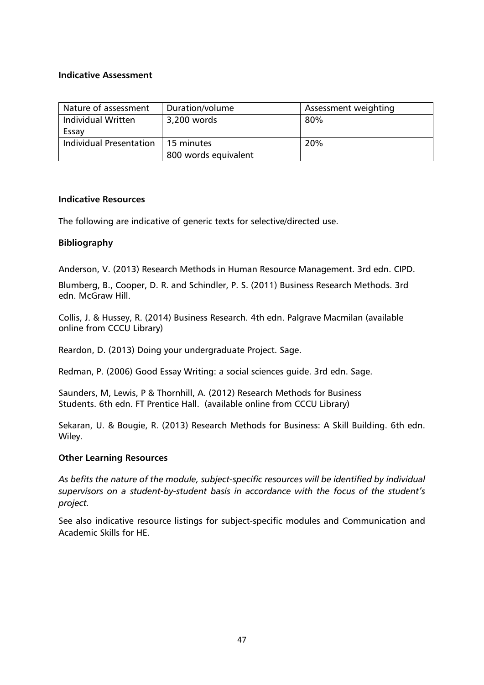#### **Indicative Assessment**

| Nature of assessment           | Duration/volume      | Assessment weighting |
|--------------------------------|----------------------|----------------------|
| <b>Individual Written</b>      | 3,200 words          | 80%                  |
| Essay                          |                      |                      |
| <b>Individual Presentation</b> | l 15 minutes         | 20%                  |
|                                | 800 words equivalent |                      |

#### **Indicative Resources**

The following are indicative of generic texts for selective/directed use.

## **Bibliography**

Anderson, V. (2013) Research Methods in Human Resource Management. 3rd edn. CIPD.

Blumberg, B., Cooper, D. R. and Schindler, P. S. (2011) Business Research Methods. 3rd edn. McGraw Hill.

Collis, J. & Hussey, R. (2014) Business Research. 4th edn. Palgrave Macmilan (available online from CCCU Library)

Reardon, D. (2013) Doing your undergraduate Project. Sage.

Redman, P. (2006) Good Essay Writing: a social sciences guide. 3rd edn. Sage.

Saunders, M, Lewis, P & Thornhill, A. (2012) Research Methods for Business Students. 6th edn. FT Prentice Hall. (available online from CCCU Library)

Sekaran, U. & Bougie, R. (2013) Research Methods for Business: A Skill Building. 6th edn. Wiley.

## **Other Learning Resources**

*As befits the nature of the module, subject-specific resources will be identified by individual supervisors on a student-by-student basis in accordance with the focus of the student's project.* 

See also indicative resource listings for subject-specific modules and Communication and Academic Skills for HE.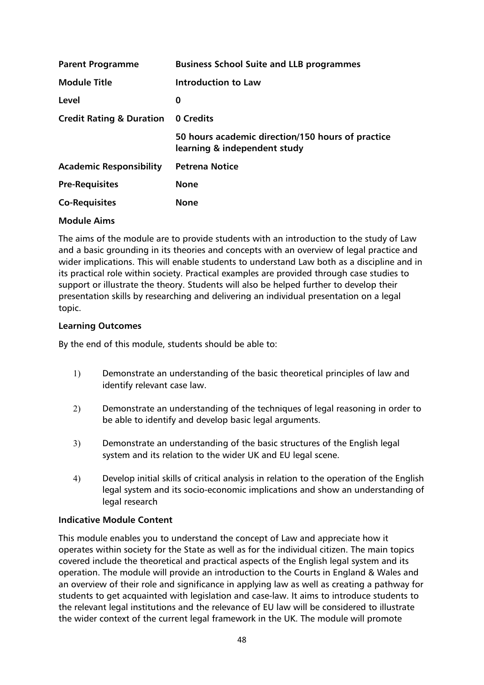| <b>Parent Programme</b>             | <b>Business School Suite and LLB programmes</b>                                   |  |
|-------------------------------------|-----------------------------------------------------------------------------------|--|
| <b>Module Title</b>                 | Introduction to Law                                                               |  |
| Level                               | 0                                                                                 |  |
| <b>Credit Rating &amp; Duration</b> | 0 Credits                                                                         |  |
|                                     | 50 hours academic direction/150 hours of practice<br>learning & independent study |  |
| <b>Academic Responsibility</b>      | <b>Petrena Notice</b>                                                             |  |
| <b>Pre-Requisites</b>               | <b>None</b>                                                                       |  |
| <b>Co-Requisites</b>                | None                                                                              |  |

## **Module Aims**

The aims of the module are to provide students with an introduction to the study of Law and a basic grounding in its theories and concepts with an overview of legal practice and wider implications. This will enable students to understand Law both as a discipline and in its practical role within society. Practical examples are provided through case studies to support or illustrate the theory. Students will also be helped further to develop their presentation skills by researching and delivering an individual presentation on a legal topic.

#### **Learning Outcomes**

By the end of this module, students should be able to:

- 1) Demonstrate an understanding of the basic theoretical principles of law and identify relevant case law.
- 2) Demonstrate an understanding of the techniques of legal reasoning in order to be able to identify and develop basic legal arguments.
- 3) Demonstrate an understanding of the basic structures of the English legal system and its relation to the wider UK and EU legal scene.
- 4) Develop initial skills of critical analysis in relation to the operation of the English legal system and its socio-economic implications and show an understanding of legal research

## **Indicative Module Content**

This module enables you to understand the concept of Law and appreciate how it operates within society for the State as well as for the individual citizen. The main topics covered include the theoretical and practical aspects of the English legal system and its operation. The module will provide an introduction to the Courts in England & Wales and an overview of their role and significance in applying law as well as creating a pathway for students to get acquainted with legislation and case-law. It aims to introduce students to the relevant legal institutions and the relevance of EU law will be considered to illustrate the wider context of the current legal framework in the UK. The module will promote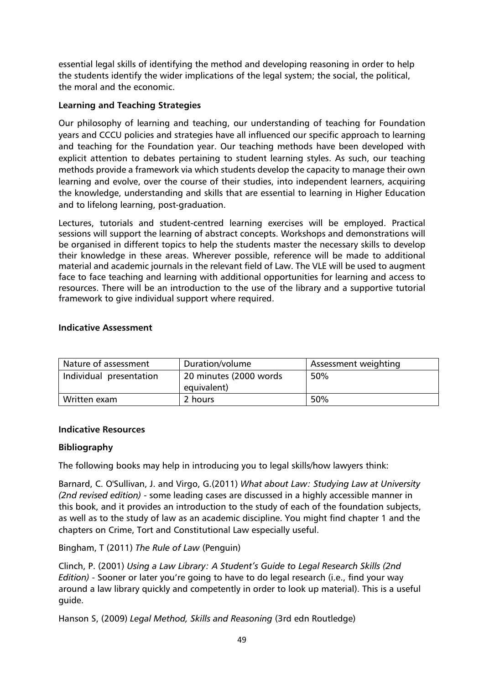essential legal skills of identifying the method and developing reasoning in order to help the students identify the wider implications of the legal system; the social, the political, the moral and the economic.

## **Learning and Teaching Strategies**

Our philosophy of learning and teaching, our understanding of teaching for Foundation years and CCCU policies and strategies have all influenced our specific approach to learning and teaching for the Foundation year. Our teaching methods have been developed with explicit attention to debates pertaining to student learning styles. As such, our teaching methods provide a framework via which students develop the capacity to manage their own learning and evolve, over the course of their studies, into independent learners, acquiring the knowledge, understanding and skills that are essential to learning in Higher Education and to lifelong learning, post-graduation.

Lectures, tutorials and student-centred learning exercises will be employed. Practical sessions will support the learning of abstract concepts. Workshops and demonstrations will be organised in different topics to help the students master the necessary skills to develop their knowledge in these areas. Wherever possible, reference will be made to additional material and academic journals in the relevant field of Law. The VLE will be used to augment face to face teaching and learning with additional opportunities for learning and access to resources. There will be an introduction to the use of the library and a supportive tutorial framework to give individual support where required.

## **Indicative Assessment**

| Nature of assessment    | Duration/volume                       | Assessment weighting |
|-------------------------|---------------------------------------|----------------------|
| Individual presentation | 20 minutes (2000 words<br>equivalent) | 50%                  |
| Written exam            | 2 hours                               | <b>50%</b>           |

## **Indicative Resources**

## **Bibliography**

The following books may help in introducing you to legal skills/how lawyers think:

Barnard, C. O'Sullivan, J. and Virgo, G.(2011) *What about Law: Studying Law at University (2nd revised edition)* - some leading cases are discussed in a highly accessible manner in this book, and it provides an introduction to the study of each of the foundation subjects, as well as to the study of law as an academic discipline. You might find chapter 1 and the chapters on Crime, Tort and Constitutional Law especially useful.

Bingham, T (2011) *The Rule of Law* (Penguin)

Clinch, P. (2001) *Using a Law Library: A Student's Guide to Legal Research Skills (2nd Edition)* - Sooner or later you're going to have to do legal research (i.e., find your way around a law library quickly and competently in order to look up material). This is a useful guide.

Hanson S, (2009) *Legal Method, Skills and Reasoning* (3rd edn Routledge)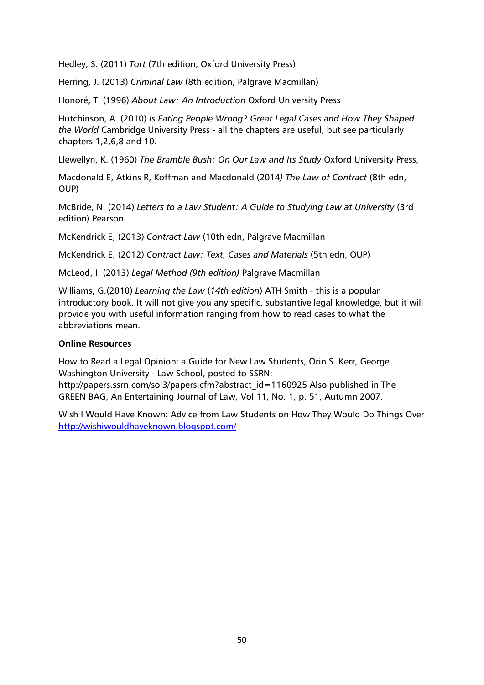Hedley, S. (2011) *Tort* (7th edition, Oxford University Press)

Herring, J. (2013) *Criminal Law* (8th edition, Palgrave Macmillan)

Honoré, T. (1996) *About Law: An Introduction* Oxford University Press

Hutchinson, A. (2010) *Is Eating People Wrong? Great Legal Cases and How They Shaped the World* Cambridge University Press - all the chapters are useful, but see particularly chapters 1,2,6,8 and 10.

Llewellyn, K. (1960) *The Bramble Bush: On Our Law and Its Study* Oxford University Press,

Macdonald E, Atkins R, Koffman and Macdonald (2014*) The Law of Contract* (8th edn, OUP)

McBride, N. (2014) *Letters to a Law Student: A Guide to Studying Law at University* (3rd edition) Pearson

McKendrick E, (2013) *Contract Law* (10th edn, Palgrave Macmillan

McKendrick E, (2012) *Contract Law: Text, Cases and Materials* (5th edn, OUP)

McLeod, I. (2013) *Legal Method (9th edition)* Palgrave Macmillan

Williams, G.(2010) *Learning the Law* (*14th edition*) ATH Smith - this is a popular introductory book. It will not give you any specific, substantive legal knowledge, but it will provide you with useful information ranging from how to read cases to what the abbreviations mean.

#### **Online Resources**

How to Read a Legal Opinion: a Guide for New Law Students, Orin S. Kerr, George Washington University - Law School, posted to SSRN:

http://papers.ssrn.com/sol3/papers.cfm?abstract\_id=1160925 Also published in The GREEN BAG, An Entertaining Journal of Law, Vol 11, No. 1, p. 51, Autumn 2007.

Wish I Would Have Known: Advice from Law Students on How They Would Do Things Over <http://wishiwouldhaveknown.blogspot.com/>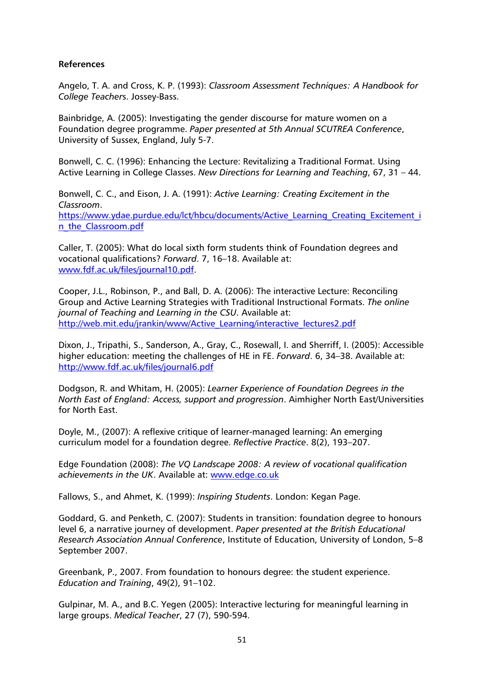## **References**

Angelo, T. A. and Cross, K. P. (1993): *Classroom Assessment Techniques: A Handbook for College Teacher*s. Jossey-Bass.

Bainbridge, A. (2005): Investigating the gender discourse for mature women on a Foundation degree programme. *Paper presented at 5th Annual SCUTREA Conference*, University of Sussex, England, July 5-7.

Bonwell, C. C. (1996): Enhancing the Lecture: Revitalizing a Traditional Format. Using Active Learning in College Classes. *New Directions for Learning and Teaching*, 67, 31 – 44.

Bonwell, C. C., and Eison, J. A. (1991): *Active Learning: Creating Excitement in the Classroom*. [https://www.ydae.purdue.edu/lct/hbcu/documents/Active\\_Learning\\_Creating\\_Excitement\\_i](https://www.ydae.purdue.edu/lct/hbcu/documents/Active_Learning_Creating_Excitement_in_the_Classroom.pdf) [n\\_the\\_Classroom.pdf](https://www.ydae.purdue.edu/lct/hbcu/documents/Active_Learning_Creating_Excitement_in_the_Classroom.pdf)

Caller, T. (2005): What do local sixth form students think of Foundation degrees and vocational qualifications? *Forward*. 7, 16–18. Available at: [www.fdf.ac.uk/files/journal10.pdf.](http://www.fdf.ac.uk/files/journal10.pdf)

Cooper, J.L., Robinson, P., and Ball, D. A. (2006): The interactive Lecture: Reconciling Group and Active Learning Strategies with Traditional Instructional Formats. *The online journal of Teaching and Learning in the CSU*. Available at: [http://web.mit.edu/jrankin/www/Active\\_Learning/interactive\\_lectures2.pdf](http://web.mit.edu/jrankin/www/Active_Learning/interactive_lectures2.pdf)

Dixon, J., Tripathi, S., Sanderson, A., Gray, C., Rosewall, I. and Sherriff, I. (2005): Accessible higher education: meeting the challenges of HE in FE. *Forward*. 6, 34–38. Available at: <http://www.fdf.ac.uk/files/journal6.pdf>

Dodgson, R. and Whitam, H. (2005): *Learner Experience of Foundation Degrees in the North East of England: Access, support and progression*. Aimhigher North East/Universities for North East.

Doyle, M., (2007): A reflexive critique of learner-managed learning: An emerging curriculum model for a foundation degree. *Reflective Practice*. 8(2), 193–207.

Edge Foundation (2008): *The VQ Landscape 2008: A review of vocational qualification achievements in the UK*. Available at: [www.edge.co.uk](http://www.edge.co.uk/)

Fallows, S., and Ahmet, K. (1999): *Inspiring Students*. London: Kegan Page.

Goddard, G. and Penketh, C. (2007): Students in transition: foundation degree to honours level 6, a narrative journey of development. *Paper presented at the British Educational Research Association Annual Conference*, Institute of Education, University of London, 5–8 September 2007.

Greenbank, P., 2007. From foundation to honours degree: the student experience. *Education and Training*, 49(2), 91–102.

Gulpinar, M. A., and B.C. Yegen (2005): Interactive lecturing for meaningful learning in large groups. *Medical Teacher*, 27 (7), 590-594.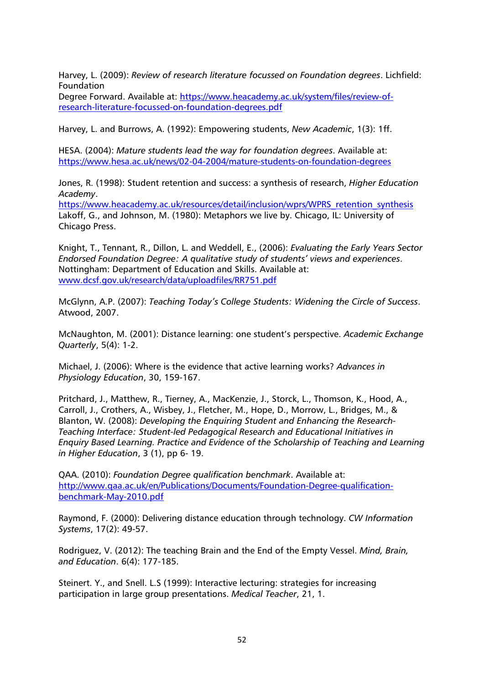Harvey, L. (2009): *Review of research literature focussed on Foundation degrees*. Lichfield: Foundation

Degree Forward. Available at: [https://www.heacademy.ac.uk/system/files/review-of](https://www.heacademy.ac.uk/system/files/review-of-research-literature-focussed-on-foundation-degrees.pdf)[research-literature-focussed-on-foundation-degrees.pdf](https://www.heacademy.ac.uk/system/files/review-of-research-literature-focussed-on-foundation-degrees.pdf)

Harvey, L. and Burrows, A. (1992): Empowering students, *New Academic*, 1(3): 1ff.

HESA. (2004): *Mature students lead the way for foundation degrees*. Available at: <https://www.hesa.ac.uk/news/02-04-2004/mature-students-on-foundation-degrees>

Jones, R. (1998): Student retention and success: a synthesis of research, *Higher Education Academy*.

[https://www.heacademy.ac.uk/resources/detail/inclusion/wprs/WPRS\\_retention\\_synthesis](https://www.heacademy.ac.uk/resources/detail/inclusion/wprs/WPRS_retention_synthesis) Lakoff, G., and Johnson, M. (1980): Metaphors we live by. Chicago, IL: University of Chicago Press.

Knight, T., Tennant, R., Dillon, L. and Weddell, E., (2006): *Evaluating the Early Years Sector Endorsed Foundation Degree: A qualitative study of students' views and experiences*. Nottingham: Department of Education and Skills. Available at: [www.dcsf.gov.uk/research/data/uploadfiles/RR751.pdf](http://www.dcsf.gov.uk/research/data/uploadfiles/RR751.pdf)

McGlynn, A.P. (2007): *Teaching Today's College Students: Widening the Circle of Success*. Atwood, 2007.

McNaughton, M. (2001): Distance learning: one student's perspective. *Academic Exchange Quarterly*, 5(4): 1-2.

Michael, J. (2006): Where is the evidence that active learning works? *Advances in Physiology Education*, 30, 159-167.

Pritchard, J., Matthew, R., Tierney, A., MacKenzie, J., Storck, L., Thomson, K., Hood, A., Carroll, J., Crothers, A., Wisbey, J., Fletcher, M., Hope, D., Morrow, L., Bridges, M., & Blanton, W. (2008): *Developing the Enquiring Student and Enhancing the Research-Teaching Interface: Student-led Pedagogical Research and Educational Initiatives in Enquiry Based Learning. Practice and Evidence of the Scholarship of Teaching and Learning in Higher Education*, 3 (1), pp 6- 19.

QAA. (2010): *Foundation Degree qualification benchmark*. Available at: [http://www.qaa.ac.uk/en/Publications/Documents/Foundation-Degree-qualification](http://www.qaa.ac.uk/en/Publications/Documents/Foundation-Degree-qualification-benchmark-May-2010.pdf)[benchmark-May-2010.pdf](http://www.qaa.ac.uk/en/Publications/Documents/Foundation-Degree-qualification-benchmark-May-2010.pdf)

Raymond, F. (2000): Delivering distance education through technology. *CW Information Systems*, 17(2): 49-57.

Rodriguez, V. (2012): The teaching Brain and the End of the Empty Vessel. *Mind, Brain, and Education*. 6(4): 177-185.

Steinert. Y., and Snell. L.S (1999): Interactive lecturing: strategies for increasing participation in large group presentations. *Medical Teacher*, 21, 1.